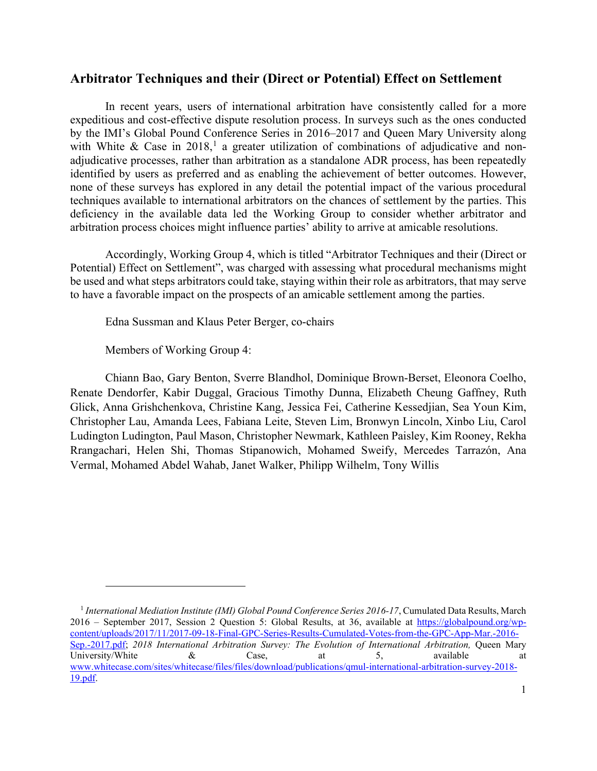## **Arbitrator Techniques and their (Direct or Potential) Effect on Settlement**

In recent years, users of international arbitration have consistently called for a more expeditious and cost-effective dispute resolution process. In surveys such as the ones conducted by the IMI's Global Pound Conference Series in 2016–2017 and Queen Mary University along with White & Case in 20[1](#page-0-0)8,<sup>1</sup> a greater utilization of combinations of adjudicative and nonadjudicative processes, rather than arbitration as a standalone ADR process, has been repeatedly identified by users as preferred and as enabling the achievement of better outcomes. However, none of these surveys has explored in any detail the potential impact of the various procedural techniques available to international arbitrators on the chances of settlement by the parties. This deficiency in the available data led the Working Group to consider whether arbitrator and arbitration process choices might influence parties' ability to arrive at amicable resolutions.

Accordingly, Working Group 4, which is titled "Arbitrator Techniques and their (Direct or Potential) Effect on Settlement", was charged with assessing what procedural mechanisms might be used and what steps arbitrators could take, staying within their role as arbitrators, that may serve to have a favorable impact on the prospects of an amicable settlement among the parties.

Edna Sussman and Klaus Peter Berger, co-chairs

Members of Working Group 4:

Chiann Bao, Gary Benton, Sverre Blandhol, Dominique Brown-Berset, Eleonora Coelho, Renate Dendorfer, Kabir Duggal, Gracious Timothy Dunna, Elizabeth Cheung Gaffney, Ruth Glick, Anna Grishchenkova, Christine Kang, Jessica Fei, Catherine Kessedjian, Sea Youn Kim, Christopher Lau, Amanda Lees, Fabiana Leite, Steven Lim, Bronwyn Lincoln, Xinbo Liu, Carol Ludington Ludington, Paul Mason, Christopher Newmark, Kathleen Paisley, Kim Rooney, Rekha Rrangachari, Helen Shi, Thomas Stipanowich, Mohamed Sweify, Mercedes Tarrazón, Ana Vermal, Mohamed Abdel Wahab, Janet Walker, Philipp Wilhelm, Tony Willis

<span id="page-0-0"></span><sup>&</sup>lt;sup>1</sup> International Mediation Institute (IMI) Global Pound Conference Series 2016-17, Cumulated Data Results, March 2016 – September 2017, Session 2 Question 5: Global Results, at 36, available at [https://globalpound.org/wp](https://globalpound.org/wp-content/uploads/2017/11/2017-09-18-Final-GPC-Series-Results-Cumulated-Votes-from-the-GPC-App-Mar.-2016-Sep.-2017.pdf)[content/uploads/2017/11/2017-09-18-Final-GPC-Series-Results-Cumulated-Votes-from-the-GPC-App-Mar.-2016-](https://globalpound.org/wp-content/uploads/2017/11/2017-09-18-Final-GPC-Series-Results-Cumulated-Votes-from-the-GPC-App-Mar.-2016-Sep.-2017.pdf) [Sep.-2017.pdf;](https://globalpound.org/wp-content/uploads/2017/11/2017-09-18-Final-GPC-Series-Results-Cumulated-Votes-from-the-GPC-App-Mar.-2016-Sep.-2017.pdf) *2018 International Arbitration Survey: The Evolution of International Arbitration,* Queen Mary University/White  $\&$  Case, at 5, available at  $\&$ [www.whitecase.com/sites/whitecase/files/files/download/publications/qmul-international-arbitration-survey-2018-](http://www.whitecase.com/sites/whitecase/files/files/download/publications/qmul-international-arbitration-survey-2018-19.pdf) [19.pdf.](http://www.whitecase.com/sites/whitecase/files/files/download/publications/qmul-international-arbitration-survey-2018-19.pdf)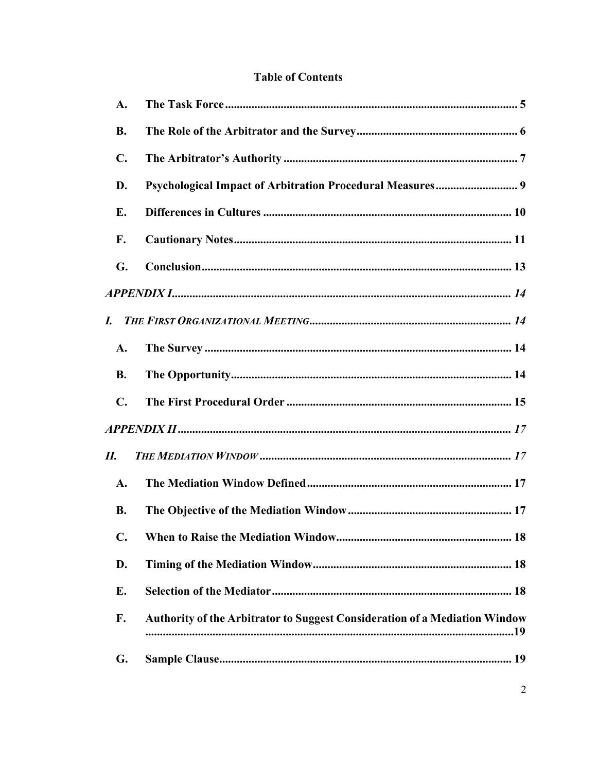# **Table of Contents**

| A.             |                                                                                   |
|----------------|-----------------------------------------------------------------------------------|
| <b>B.</b>      |                                                                                   |
| $\mathbf{C}$ . |                                                                                   |
| D.             |                                                                                   |
| Е.             |                                                                                   |
| F.             |                                                                                   |
| G.             |                                                                                   |
|                |                                                                                   |
|                |                                                                                   |
| $\mathbf{A}$ . |                                                                                   |
| <b>B.</b>      |                                                                                   |
| $\mathbf{C}$ . |                                                                                   |
|                |                                                                                   |
| П.             |                                                                                   |
| A.             |                                                                                   |
| <b>B.</b>      |                                                                                   |
| C.             |                                                                                   |
| D.             |                                                                                   |
| Е.             |                                                                                   |
| F.             | <b>Authority of the Arbitrator to Suggest Consideration of a Mediation Window</b> |
| G.             |                                                                                   |
|                |                                                                                   |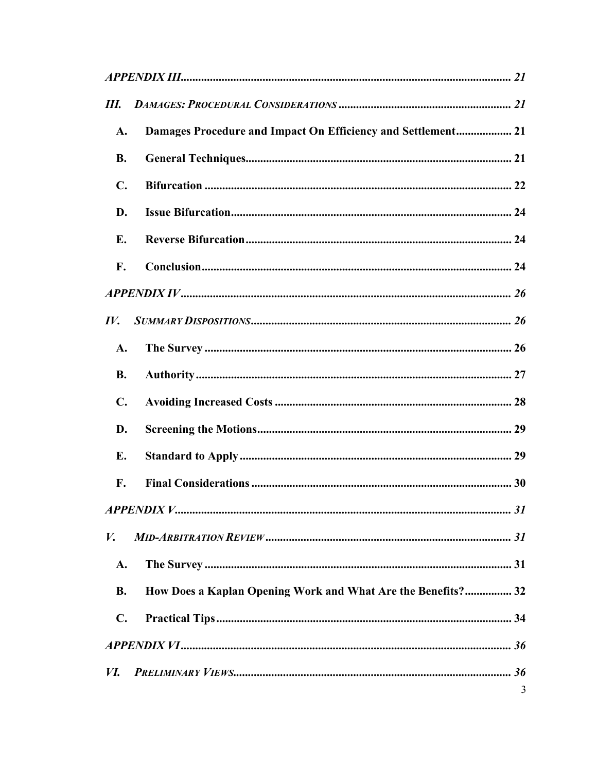| Ш.                |                                                              |   |  |
|-------------------|--------------------------------------------------------------|---|--|
| A.                | Damages Procedure and Impact On Efficiency and Settlement 21 |   |  |
| <b>B.</b>         |                                                              |   |  |
| $\mathbf{C}$ .    |                                                              |   |  |
| D.                |                                                              |   |  |
| Е.                |                                                              |   |  |
| F.                |                                                              |   |  |
|                   |                                                              |   |  |
| $\bm{I} \bm{V}$ . |                                                              |   |  |
| A.                |                                                              |   |  |
| <b>B.</b>         |                                                              |   |  |
| $\mathbf{C}$ .    |                                                              |   |  |
| D.                |                                                              |   |  |
| Е.                |                                                              |   |  |
| F.                |                                                              |   |  |
|                   |                                                              |   |  |
| V.                |                                                              |   |  |
| A.                |                                                              |   |  |
| <b>B.</b>         | How Does a Kaplan Opening Work and What Are the Benefits? 32 |   |  |
| $\mathbf{C}$ .    |                                                              |   |  |
|                   |                                                              |   |  |
| <i>VI.</i>        |                                                              |   |  |
|                   |                                                              | 3 |  |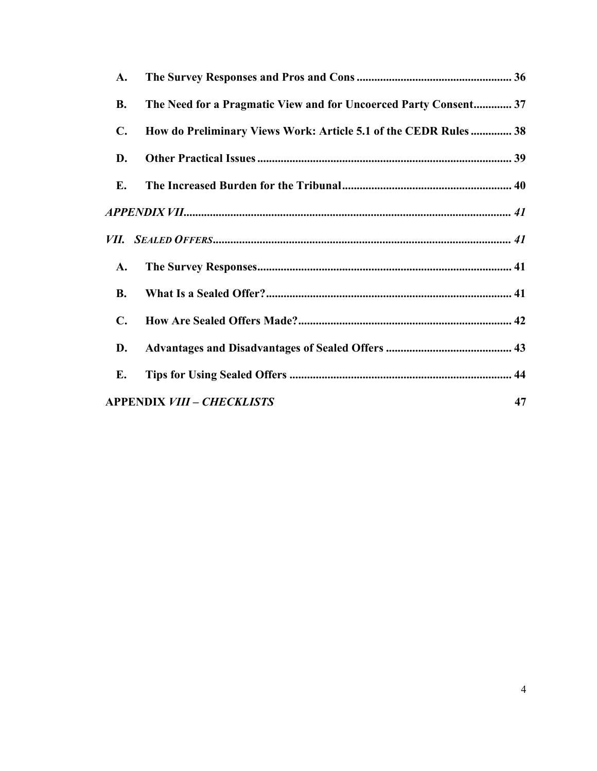| A.             |                                                                  |
|----------------|------------------------------------------------------------------|
| <b>B.</b>      | The Need for a Pragmatic View and for Uncoerced Party Consent 37 |
| $\mathbf{C}$ . | How do Preliminary Views Work: Article 5.1 of the CEDR Rules 38  |
| D.             |                                                                  |
| Е.             |                                                                  |
|                |                                                                  |
|                |                                                                  |
| A.             |                                                                  |
| <b>B.</b>      |                                                                  |
| $\mathbf{C}$ . |                                                                  |
| D.             |                                                                  |
| E.             |                                                                  |
|                | <b>APPENDIX VIII - CHECKLISTS</b><br>47                          |
|                |                                                                  |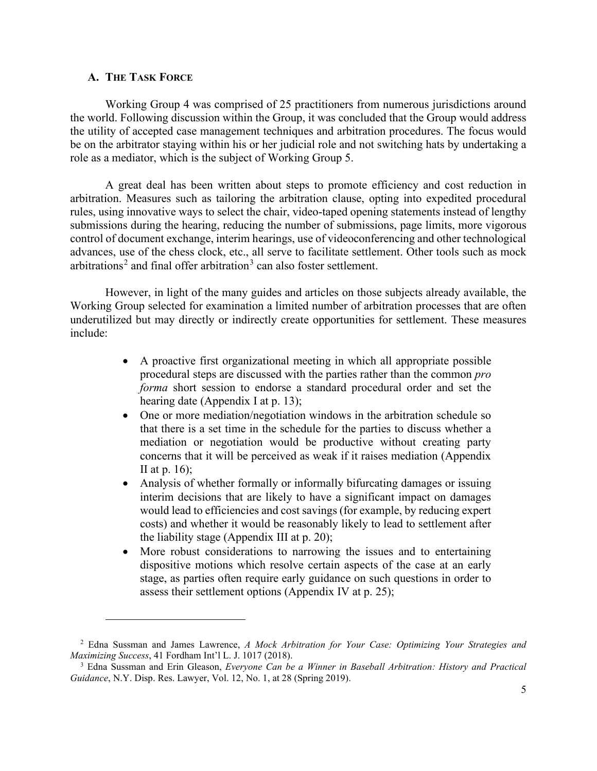#### <span id="page-4-0"></span>**A. THE TASK FORCE**

Working Group 4 was comprised of 25 practitioners from numerous jurisdictions around the world. Following discussion within the Group, it was concluded that the Group would address the utility of accepted case management techniques and arbitration procedures. The focus would be on the arbitrator staying within his or her judicial role and not switching hats by undertaking a role as a mediator, which is the subject of Working Group 5.

A great deal has been written about steps to promote efficiency and cost reduction in arbitration. Measures such as tailoring the arbitration clause, opting into expedited procedural rules, using innovative ways to select the chair, video-taped opening statements instead of lengthy submissions during the hearing, reducing the number of submissions, page limits, more vigorous control of document exchange, interim hearings, use of videoconferencing and other technological advances, use of the chess clock, etc., all serve to facilitate settlement. Other tools such as mock arbitrations<sup>[2](#page-4-1)</sup> and final offer arbitration<sup>[3](#page-4-2)</sup> can also foster settlement.

However, in light of the many guides and articles on those subjects already available, the Working Group selected for examination a limited number of arbitration processes that are often underutilized but may directly or indirectly create opportunities for settlement. These measures include:

- A proactive first organizational meeting in which all appropriate possible procedural steps are discussed with the parties rather than the common *pro forma* short session to endorse a standard procedural order and set the hearing date (Appendix I at p. 13);
- One or more mediation/negotiation windows in the arbitration schedule so that there is a set time in the schedule for the parties to discuss whether a mediation or negotiation would be productive without creating party concerns that it will be perceived as weak if it raises mediation (Appendix II at p. 16);
- Analysis of whether formally or informally bifurcating damages or issuing interim decisions that are likely to have a significant impact on damages would lead to efficiencies and cost savings (for example, by reducing expert costs) and whether it would be reasonably likely to lead to settlement after the liability stage (Appendix III at p. 20);
- More robust considerations to narrowing the issues and to entertaining dispositive motions which resolve certain aspects of the case at an early stage, as parties often require early guidance on such questions in order to assess their settlement options (Appendix IV at p. 25);

<span id="page-4-1"></span><sup>2</sup> Edna Sussman and James Lawrence, *A Mock Arbitration for Your Case: Optimizing Your Strategies and Maximizing Success*, 41 Fordham Int'l L. J. 1017 (2018).

<span id="page-4-2"></span><sup>3</sup> Edna Sussman and Erin Gleason, *Everyone Can be a Winner in Baseball Arbitration: History and Practical Guidance*, N.Y. Disp. Res. Lawyer, Vol. 12, No. 1, at 28 (Spring 2019).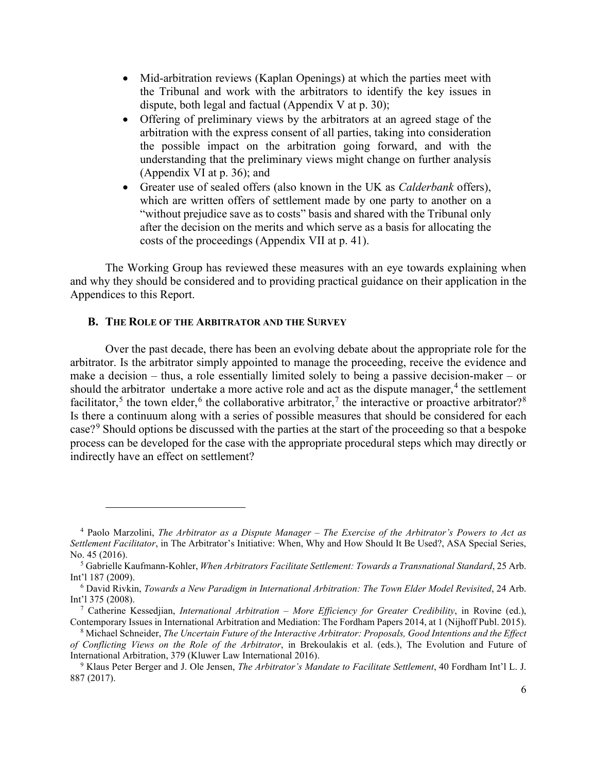- Mid-arbitration reviews (Kaplan Openings) at which the parties meet with the Tribunal and work with the arbitrators to identify the key issues in dispute, both legal and factual (Appendix V at p. 30);
- Offering of preliminary views by the arbitrators at an agreed stage of the arbitration with the express consent of all parties, taking into consideration the possible impact on the arbitration going forward, and with the understanding that the preliminary views might change on further analysis (Appendix VI at p. 36); and
- Greater use of sealed offers (also known in the UK as *Calderbank* offers), which are written offers of settlement made by one party to another on a "without prejudice save as to costs" basis and shared with the Tribunal only after the decision on the merits and which serve as a basis for allocating the costs of the proceedings (Appendix VII at p. 41).

The Working Group has reviewed these measures with an eye towards explaining when and why they should be considered and to providing practical guidance on their application in the Appendices to this Report.

#### <span id="page-5-0"></span>**B. THE ROLE OF THE ARBITRATOR AND THE SURVEY**

Over the past decade, there has been an evolving debate about the appropriate role for the arbitrator. Is the arbitrator simply appointed to manage the proceeding, receive the evidence and make a decision – thus, a role essentially limited solely to being a passive decision-maker – or should the arbitrator undertake a more active role and act as the dispute manager, $4$  the settlement facilitator,<sup>[5](#page-5-2)</sup> the town elder,<sup>[6](#page-5-3)</sup> the collaborative arbitrator,<sup>[7](#page-5-4)</sup> the interactive or proactive arbitrator?<sup>[8](#page-5-5)</sup> Is there a continuum along with a series of possible measures that should be considered for each case?[9](#page-5-6) Should options be discussed with the parties at the start of the proceeding so that a bespoke process can be developed for the case with the appropriate procedural steps which may directly or indirectly have an effect on settlement?

<span id="page-5-1"></span><sup>4</sup> Paolo Marzolini, *The Arbitrator as a Dispute Manager – The Exercise of the Arbitrator's Powers to Act as Settlement Facilitator*, in The Arbitrator's Initiative: When, Why and How Should It Be Used?, ASA Special Series, No. 45 (2016).

<span id="page-5-2"></span><sup>5</sup> Gabrielle Kaufmann-Kohler, *When Arbitrators Facilitate Settlement: Towards a Transnational Standard*, 25 Arb. Int'l 187 (2009).

<span id="page-5-3"></span><sup>6</sup> David Rivkin, *Towards a New Paradigm in International Arbitration: The Town Elder Model Revisited*, 24 Arb. Int'l 375 (2008).

<span id="page-5-4"></span><sup>7</sup> Catherine Kessedjian, *International Arbitration – More Efficiency for Greater Credibility*, in Rovine (ed.), Contemporary Issues in International Arbitration and Mediation: The Fordham Papers 2014, at 1 (Nijhoff Publ. 2015).

<span id="page-5-5"></span><sup>8</sup> Michael Schneider, *The Uncertain Future of the Interactive Arbitrator: Proposals, Good Intentions and the Effect of Conflicting Views on the Role of the Arbitrator*, in Brekoulakis et al. (eds.), The Evolution and Future of International Arbitration, 379 (Kluwer Law International 2016).

<span id="page-5-6"></span><sup>9</sup> Klaus Peter Berger and J. Ole Jensen, *The Arbitrator's Mandate to Facilitate Settlement*, 40 Fordham Int'l L. J. 887 (2017).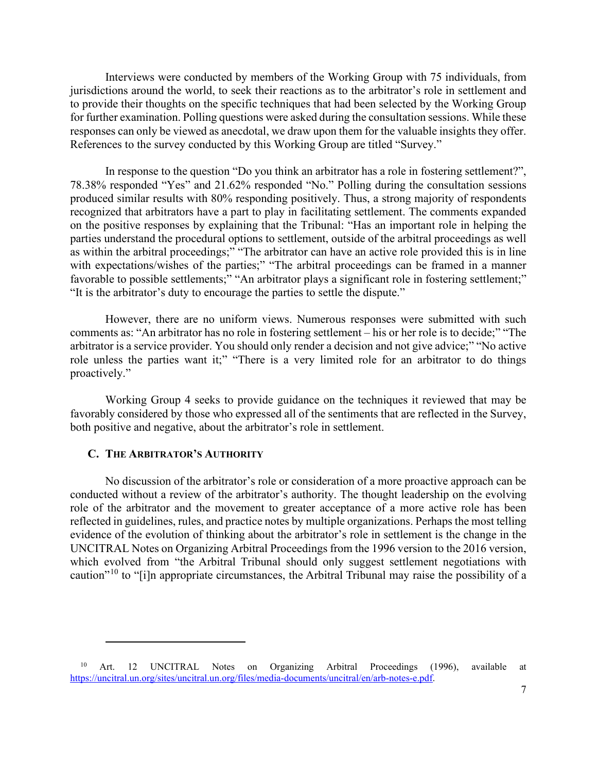Interviews were conducted by members of the Working Group with 75 individuals, from jurisdictions around the world, to seek their reactions as to the arbitrator's role in settlement and to provide their thoughts on the specific techniques that had been selected by the Working Group for further examination. Polling questions were asked during the consultation sessions. While these responses can only be viewed as anecdotal, we draw upon them for the valuable insights they offer. References to the survey conducted by this Working Group are titled "Survey."

In response to the question "Do you think an arbitrator has a role in fostering settlement?", 78.38% responded "Yes" and 21.62% responded "No." Polling during the consultation sessions produced similar results with 80% responding positively. Thus, a strong majority of respondents recognized that arbitrators have a part to play in facilitating settlement. The comments expanded on the positive responses by explaining that the Tribunal: "Has an important role in helping the parties understand the procedural options to settlement, outside of the arbitral proceedings as well as within the arbitral proceedings;" "The arbitrator can have an active role provided this is in line with expectations/wishes of the parties;" "The arbitral proceedings can be framed in a manner favorable to possible settlements;" "An arbitrator plays a significant role in fostering settlement;" "It is the arbitrator's duty to encourage the parties to settle the dispute."

However, there are no uniform views. Numerous responses were submitted with such comments as: "An arbitrator has no role in fostering settlement – his or her role is to decide;" "The arbitrator is a service provider. You should only render a decision and not give advice;" "No active role unless the parties want it;" "There is a very limited role for an arbitrator to do things proactively."

Working Group 4 seeks to provide guidance on the techniques it reviewed that may be favorably considered by those who expressed all of the sentiments that are reflected in the Survey, both positive and negative, about the arbitrator's role in settlement.

#### <span id="page-6-0"></span>**C. THE ARBITRATOR'S AUTHORITY**

No discussion of the arbitrator's role or consideration of a more proactive approach can be conducted without a review of the arbitrator's authority. The thought leadership on the evolving role of the arbitrator and the movement to greater acceptance of a more active role has been reflected in guidelines, rules, and practice notes by multiple organizations. Perhaps the most telling evidence of the evolution of thinking about the arbitrator's role in settlement is the change in the UNCITRAL Notes on Organizing Arbitral Proceedings from the 1996 version to the 2016 version, which evolved from "the Arbitral Tribunal should only suggest settlement negotiations with caution"[10](#page-6-1) to "[i]n appropriate circumstances, the Arbitral Tribunal may raise the possibility of a

<span id="page-6-1"></span><sup>&</sup>lt;sup>10</sup> Art. 12 UNCITRAL Notes on Organizing Arbitral Proceedings (1996), available at [https://uncitral.un.org/sites/uncitral.un.org/files/media-documents/uncitral/en/arb-notes-e.pdf.](https://uncitral.un.org/sites/uncitral.un.org/files/media-documents/uncitral/en/arb-notes-e.pdf)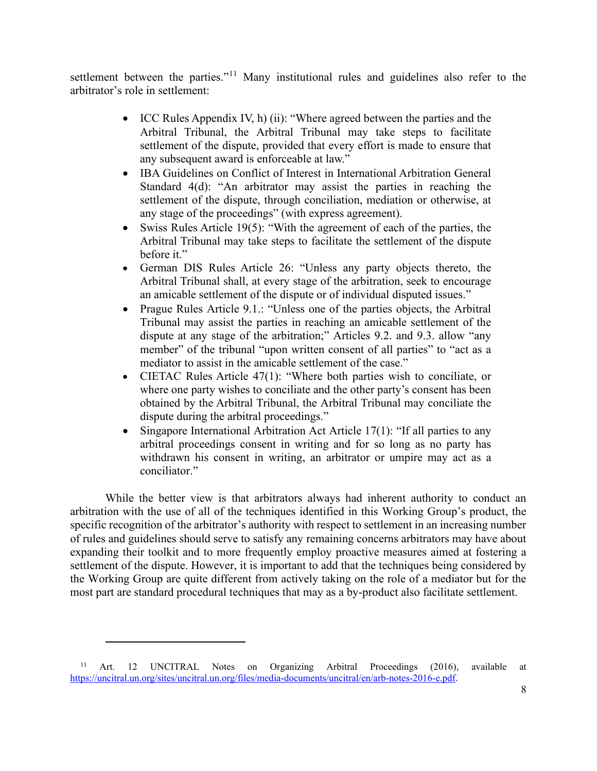settlement between the parties."<sup>[11](#page-7-0)</sup> Many institutional rules and guidelines also refer to the arbitrator's role in settlement:

- ICC Rules Appendix IV, h) (ii): "Where agreed between the parties and the Arbitral Tribunal, the Arbitral Tribunal may take steps to facilitate settlement of the dispute, provided that every effort is made to ensure that any subsequent award is enforceable at law."
- IBA Guidelines on Conflict of Interest in International Arbitration General Standard 4(d): "An arbitrator may assist the parties in reaching the settlement of the dispute, through conciliation, mediation or otherwise, at any stage of the proceedings" (with express agreement).
- Swiss Rules Article 19(5): "With the agreement of each of the parties, the Arbitral Tribunal may take steps to facilitate the settlement of the dispute before it."
- German DIS Rules Article 26: "Unless any party objects thereto, the Arbitral Tribunal shall, at every stage of the arbitration, seek to encourage an amicable settlement of the dispute or of individual disputed issues."
- Prague Rules Article 9.1.: "Unless one of the parties objects, the Arbitral Tribunal may assist the parties in reaching an amicable settlement of the dispute at any stage of the arbitration;" Articles 9.2. and 9.3. allow "any member" of the tribunal "upon written consent of all parties" to "act as a mediator to assist in the amicable settlement of the case."
- CIETAC Rules Article 47(1): "Where both parties wish to conciliate, or where one party wishes to conciliate and the other party's consent has been obtained by the Arbitral Tribunal, the Arbitral Tribunal may conciliate the dispute during the arbitral proceedings."
- Singapore International Arbitration Act Article 17(1): "If all parties to any arbitral proceedings consent in writing and for so long as no party has withdrawn his consent in writing, an arbitrator or umpire may act as a conciliator."

While the better view is that arbitrators always had inherent authority to conduct an arbitration with the use of all of the techniques identified in this Working Group's product, the specific recognition of the arbitrator's authority with respect to settlement in an increasing number of rules and guidelines should serve to satisfy any remaining concerns arbitrators may have about expanding their toolkit and to more frequently employ proactive measures aimed at fostering a settlement of the dispute. However, it is important to add that the techniques being considered by the Working Group are quite different from actively taking on the role of a mediator but for the most part are standard procedural techniques that may as a by-product also facilitate settlement.

<span id="page-7-0"></span><sup>&</sup>lt;sup>11</sup> Art. 12 UNCITRAL Notes on Organizing Arbitral Proceedings (2016), available at [https://uncitral.un.org/sites/uncitral.un.org/files/media-documents/uncitral/en/arb-notes-2016-e.pdf.](https://uncitral.un.org/sites/uncitral.un.org/files/media-documents/uncitral/en/arb-notes-2016-e.pdf)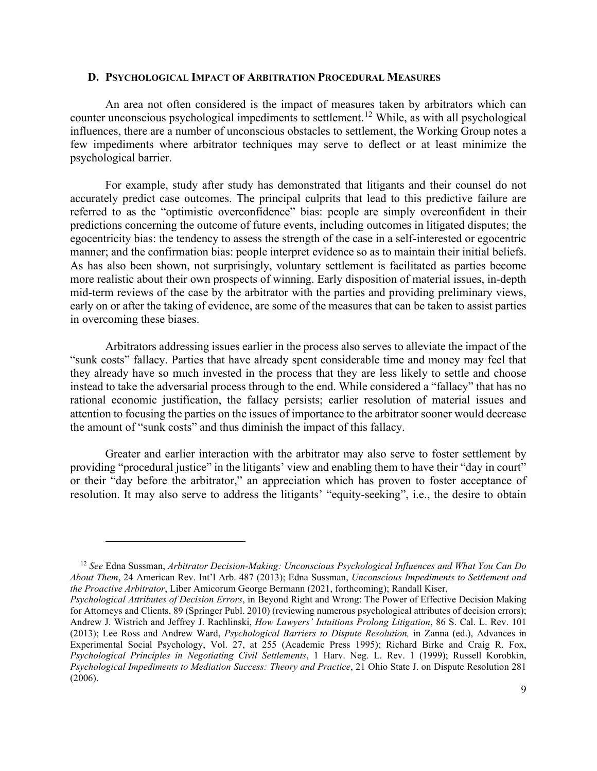#### <span id="page-8-0"></span>**D. PSYCHOLOGICAL IMPACT OF ARBITRATION PROCEDURAL MEASURES**

An area not often considered is the impact of measures taken by arbitrators which can counter unconscious psychological impediments to settlement. [12](#page-8-1) While, as with all psychological influences, there are a number of unconscious obstacles to settlement, the Working Group notes a few impediments where arbitrator techniques may serve to deflect or at least minimize the psychological barrier.

For example, study after study has demonstrated that litigants and their counsel do not accurately predict case outcomes. The principal culprits that lead to this predictive failure are referred to as the "optimistic overconfidence" bias: people are simply overconfident in their predictions concerning the outcome of future events, including outcomes in litigated disputes; the egocentricity bias: the tendency to assess the strength of the case in a self-interested or egocentric manner; and the confirmation bias: people interpret evidence so as to maintain their initial beliefs. As has also been shown, not surprisingly, voluntary settlement is facilitated as parties become more realistic about their own prospects of winning. Early disposition of material issues, in-depth mid-term reviews of the case by the arbitrator with the parties and providing preliminary views, early on or after the taking of evidence, are some of the measures that can be taken to assist parties in overcoming these biases.

Arbitrators addressing issues earlier in the process also serves to alleviate the impact of the "sunk costs" fallacy. Parties that have already spent considerable time and money may feel that they already have so much invested in the process that they are less likely to settle and choose instead to take the adversarial process through to the end. While considered a "fallacy" that has no rational economic justification, the fallacy persists; earlier resolution of material issues and attention to focusing the parties on the issues of importance to the arbitrator sooner would decrease the amount of "sunk costs" and thus diminish the impact of this fallacy.

Greater and earlier interaction with the arbitrator may also serve to foster settlement by providing "procedural justice" in the litigants' view and enabling them to have their "day in court" or their "day before the arbitrator," an appreciation which has proven to foster acceptance of resolution. It may also serve to address the litigants' "equity-seeking", i.e., the desire to obtain

<span id="page-8-1"></span><sup>12</sup> *See* Edna Sussman, *Arbitrator Decision-Making: Unconscious Psychological Influences and What You Can Do About Them*, 24 American Rev. Int'l Arb. 487 (2013); Edna Sussman, *Unconscious Impediments to Settlement and the Proactive Arbitrator*, Liber Amicorum George Bermann (2021, forthcoming); Randall Kiser,

*Psychological Attributes of Decision Errors*, in Beyond Right and Wrong: The Power of Effective Decision Making for Attorneys and Clients, 89 (Springer Publ. 2010) (reviewing numerous psychological attributes of decision errors); Andrew J. Wistrich and Jeffrey J. Rachlinski, *How Lawyers' Intuitions Prolong Litigation*, 86 S. Cal. L. Rev. 101 (2013); Lee Ross and Andrew Ward, *Psychological Barriers to Dispute Resolution,* in Zanna (ed.), Advances in Experimental Social Psychology, Vol. 27, at 255 (Academic Press 1995); Richard Birke and Craig R. Fox, *Psychological Principles in Negotiating Civil Settlements*, 1 Harv. Neg. L. Rev. 1 (1999); Russell Korobkin, *Psychological Impediments to Mediation Success: Theory and Practice*, 21 Ohio State J. on Dispute Resolution 281 (2006).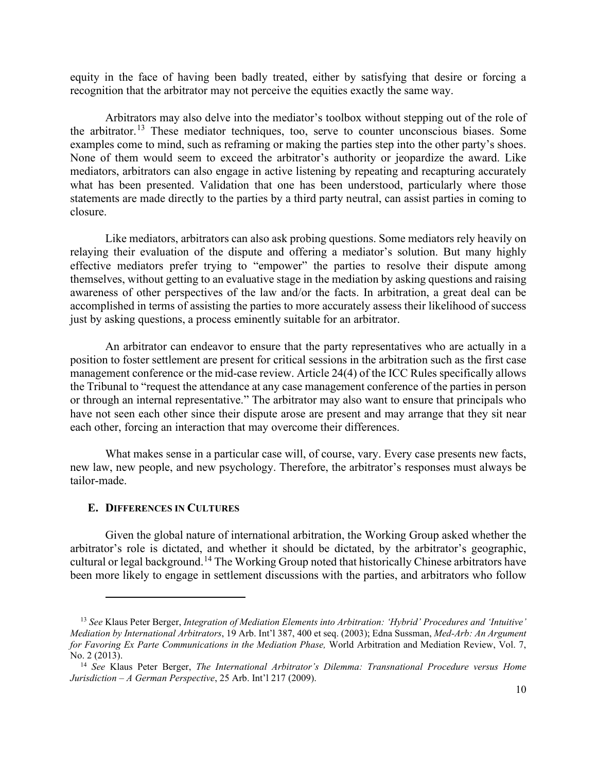equity in the face of having been badly treated, either by satisfying that desire or forcing a recognition that the arbitrator may not perceive the equities exactly the same way.

Arbitrators may also delve into the mediator's toolbox without stepping out of the role of the arbitrator.<sup>[13](#page-9-1)</sup> These mediator techniques, too, serve to counter unconscious biases. Some examples come to mind, such as reframing or making the parties step into the other party's shoes. None of them would seem to exceed the arbitrator's authority or jeopardize the award. Like mediators, arbitrators can also engage in active listening by repeating and recapturing accurately what has been presented. Validation that one has been understood, particularly where those statements are made directly to the parties by a third party neutral, can assist parties in coming to closure.

Like mediators, arbitrators can also ask probing questions. Some mediators rely heavily on relaying their evaluation of the dispute and offering a mediator's solution. But many highly effective mediators prefer trying to "empower" the parties to resolve their dispute among themselves, without getting to an evaluative stage in the mediation by asking questions and raising awareness of other perspectives of the law and/or the facts. In arbitration, a great deal can be accomplished in terms of assisting the parties to more accurately assess their likelihood of success just by asking questions, a process eminently suitable for an arbitrator.

An arbitrator can endeavor to ensure that the party representatives who are actually in a position to foster settlement are present for critical sessions in the arbitration such as the first case management conference or the mid-case review. Article 24(4) of the ICC Rules specifically allows the Tribunal to "request the attendance at any case management conference of the parties in person or through an internal representative." The arbitrator may also want to ensure that principals who have not seen each other since their dispute arose are present and may arrange that they sit near each other, forcing an interaction that may overcome their differences.

What makes sense in a particular case will, of course, vary. Every case presents new facts, new law, new people, and new psychology. Therefore, the arbitrator's responses must always be tailor-made.

#### <span id="page-9-0"></span>**E. DIFFERENCES IN CULTURES**

Given the global nature of international arbitration, the Working Group asked whether the arbitrator's role is dictated, and whether it should be dictated, by the arbitrator's geographic, cultural or legal background.<sup>[14](#page-9-2)</sup> The Working Group noted that historically Chinese arbitrators have been more likely to engage in settlement discussions with the parties, and arbitrators who follow

<span id="page-9-1"></span><sup>13</sup> *See* Klaus Peter Berger, *Integration of Mediation Elements into Arbitration: 'Hybrid' Procedures and 'Intuitive' Mediation by International Arbitrators*, 19 Arb. Int'l 387, 400 et seq. (2003); Edna Sussman, *Med-Arb: An Argument for Favoring Ex Parte Communications in the Mediation Phase,* World Arbitration and Mediation Review, Vol. 7, No. 2 (2013).

<span id="page-9-2"></span><sup>14</sup> *See* Klaus Peter Berger, *The International Arbitrator's Dilemma: Transnational Procedure versus Home Jurisdiction – A German Perspective*, 25 Arb. Int'l 217 (2009).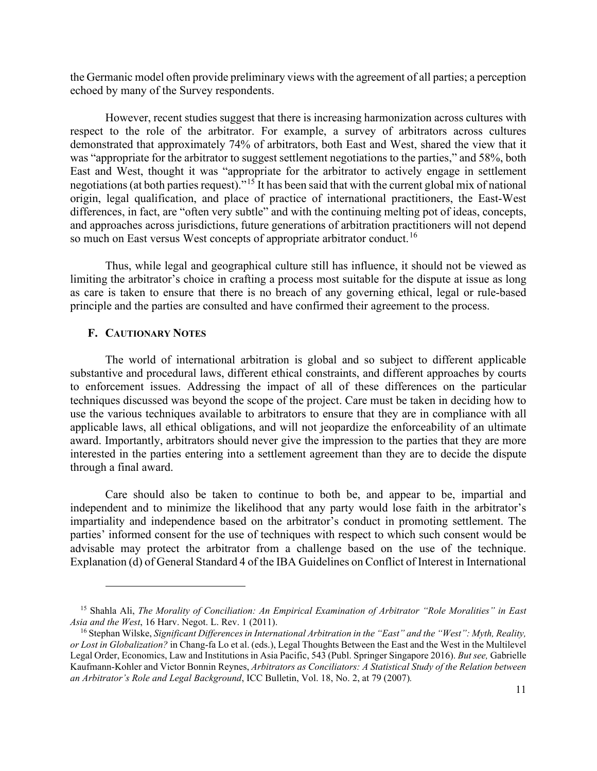the Germanic model often provide preliminary views with the agreement of all parties; a perception echoed by many of the Survey respondents.

However, recent studies suggest that there is increasing harmonization across cultures with respect to the role of the arbitrator. For example, a survey of arbitrators across cultures demonstrated that approximately 74% of arbitrators, both East and West, shared the view that it was "appropriate for the arbitrator to suggest settlement negotiations to the parties," and 58%, both East and West, thought it was "appropriate for the arbitrator to actively engage in settlement negotiations (at both parties request)."[15](#page-10-1) It has been said that with the current global mix of national origin, legal qualification, and place of practice of international practitioners, the East-West differences, in fact, are "often very subtle" and with the continuing melting pot of ideas, concepts, and approaches across jurisdictions, future generations of arbitration practitioners will not depend so much on East versus West concepts of appropriate arbitrator conduct.<sup>[16](#page-10-2)</sup>

Thus, while legal and geographical culture still has influence, it should not be viewed as limiting the arbitrator's choice in crafting a process most suitable for the dispute at issue as long as care is taken to ensure that there is no breach of any governing ethical, legal or rule-based principle and the parties are consulted and have confirmed their agreement to the process.

#### <span id="page-10-0"></span>**F. CAUTIONARY NOTES**

The world of international arbitration is global and so subject to different applicable substantive and procedural laws, different ethical constraints, and different approaches by courts to enforcement issues. Addressing the impact of all of these differences on the particular techniques discussed was beyond the scope of the project. Care must be taken in deciding how to use the various techniques available to arbitrators to ensure that they are in compliance with all applicable laws, all ethical obligations, and will not jeopardize the enforceability of an ultimate award. Importantly, arbitrators should never give the impression to the parties that they are more interested in the parties entering into a settlement agreement than they are to decide the dispute through a final award.

Care should also be taken to continue to both be, and appear to be, impartial and independent and to minimize the likelihood that any party would lose faith in the arbitrator's impartiality and independence based on the arbitrator's conduct in promoting settlement. The parties' informed consent for the use of techniques with respect to which such consent would be advisable may protect the arbitrator from a challenge based on the use of the technique. Explanation (d) of General Standard 4 of the IBA Guidelines on Conflict of Interest in International

<span id="page-10-1"></span><sup>15</sup> Shahla Ali, *The Morality of Conciliation: An Empirical Examination of Arbitrator "Role Moralities" in East Asia and the West*, 16 Harv. Negot. L. Rev. 1 (2011).

<span id="page-10-2"></span><sup>16</sup> Stephan Wilske, *Significant Differences in International Arbitration in the "East" and the "West": Myth, Reality, or Lost in Globalization?* in Chang-fa Lo et al. (eds.), Legal Thoughts Between the East and the West in the Multilevel Legal Order, Economics, Law and Institutions in Asia Pacific, 543 (Publ. Springer Singapore 2016). *But see,* Gabrielle Kaufmann-Kohler and Victor Bonnin Reynes, *Arbitrators as Conciliators: A Statistical Study of the Relation between an Arbitrator's Role and Legal Background*, ICC Bulletin, Vol. 18, No. 2, at 79 (2007)*.*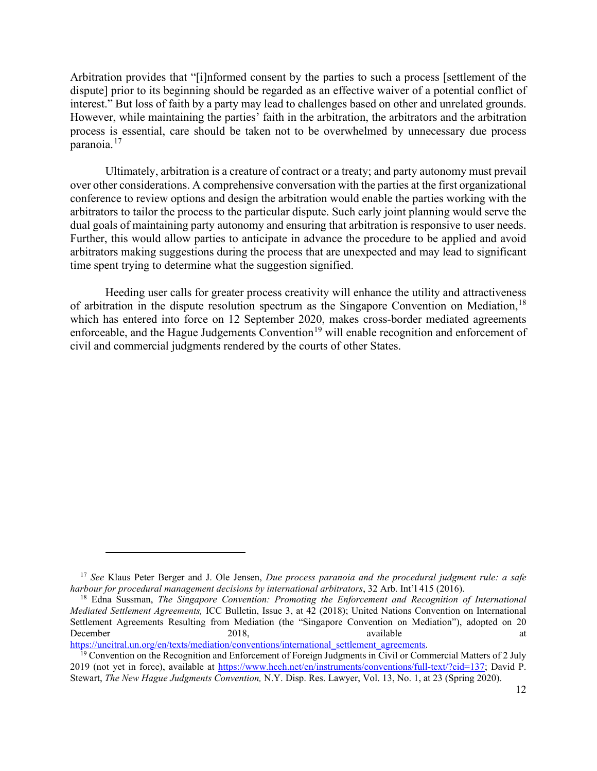Arbitration provides that "[i]nformed consent by the parties to such a process [settlement of the dispute] prior to its beginning should be regarded as an effective waiver of a potential conflict of interest." But loss of faith by a party may lead to challenges based on other and unrelated grounds. However, while maintaining the parties' faith in the arbitration, the arbitrators and the arbitration process is essential, care should be taken not to be overwhelmed by unnecessary due process paranoia. <sup>[17](#page-11-0)</sup>

Ultimately, arbitration is a creature of contract or a treaty; and party autonomy must prevail over other considerations. A comprehensive conversation with the parties at the first organizational conference to review options and design the arbitration would enable the parties working with the arbitrators to tailor the process to the particular dispute. Such early joint planning would serve the dual goals of maintaining party autonomy and ensuring that arbitration is responsive to user needs. Further, this would allow parties to anticipate in advance the procedure to be applied and avoid arbitrators making suggestions during the process that are unexpected and may lead to significant time spent trying to determine what the suggestion signified.

Heeding user calls for greater process creativity will enhance the utility and attractiveness of arbitration in the dispute resolution spectrum as the Singapore Convention on Mediation, <sup>[18](#page-11-1)</sup> which has entered into force on 12 September 2020, makes cross-border mediated agreements enforceable, and the Hague Judgements Convention<sup>[19](#page-11-2)</sup> will enable recognition and enforcement of civil and commercial judgments rendered by the courts of other States.

<span id="page-11-0"></span><sup>17</sup> *See* Klaus Peter Berger and J. Ole Jensen, *Due process paranoia and the procedural judgment rule: a safe harbour for procedural management decisions by international arbitrators*, 32 Arb. Int'l 415 (2016).

<span id="page-11-1"></span><sup>18</sup> Edna Sussman, *The Singapore Convention: Promoting the Enforcement and Recognition of International Mediated Settlement Agreements,* ICC Bulletin, Issue 3, at 42 (2018); United Nations Convention on International Settlement Agreements Resulting from Mediation (the "Singapore Convention on Mediation"), adopted on 20 December 2018, 2018, available at the available at the set of the set of the set of the set of the set of the set of the set of the set of the set of the set of the set of the set of the set of the set of the set of the se [https://uncitral.un.org/en/texts/mediation/conventions/international\\_settlement\\_agreements.](https://uncitral.un.org/en/texts/mediation/conventions/international_settlement_agreements)

<span id="page-11-2"></span><sup>&</sup>lt;sup>19</sup> Convention on the Recognition and Enforcement of Foreign Judgments in Civil or Commercial Matters of 2 July 2019 (not yet in force), available at [https://www.hcch.net/en/instruments/conventions/full-text/?cid=137;](https://www.hcch.net/en/instruments/conventions/full-text/?cid=137) David P. Stewart, *The New Hague Judgments Convention,* N.Y. Disp. Res. Lawyer, Vol. 13, No. 1, at 23 (Spring 2020).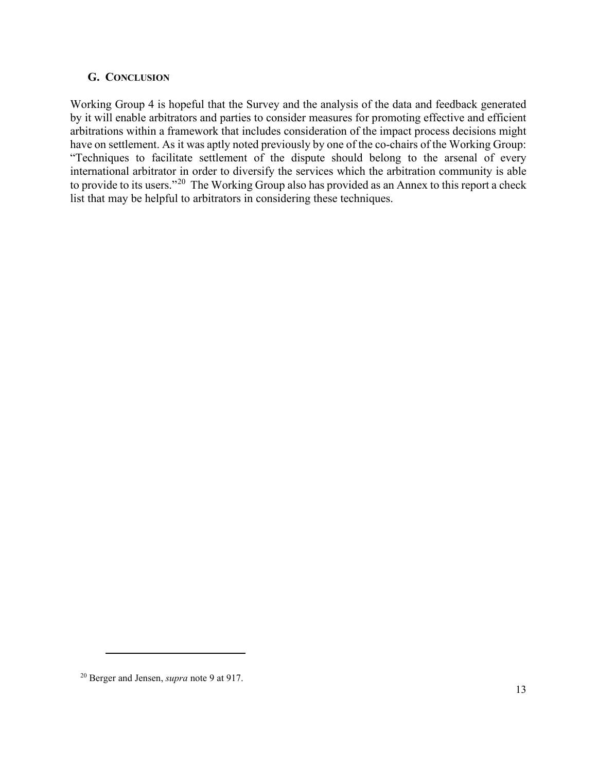## <span id="page-12-1"></span><span id="page-12-0"></span>**G. CONCLUSION**

Working Group 4 is hopeful that the Survey and the analysis of the data and feedback generated by it will enable arbitrators and parties to consider measures for promoting effective and efficient arbitrations within a framework that includes consideration of the impact process decisions might have on settlement. As it was aptly noted previously by one of the co-chairs of the Working Group: "Techniques to facilitate settlement of the dispute should belong to the arsenal of every international arbitrator in order to diversify the services which the arbitration community is able to provide to its users."[20](#page-12-2) The Working Group also has provided as an Annex to this report a check list that may be helpful to arbitrators in considering these techniques.

<span id="page-12-2"></span><sup>20</sup> Berger and Jensen, *supra* note 9 at 917.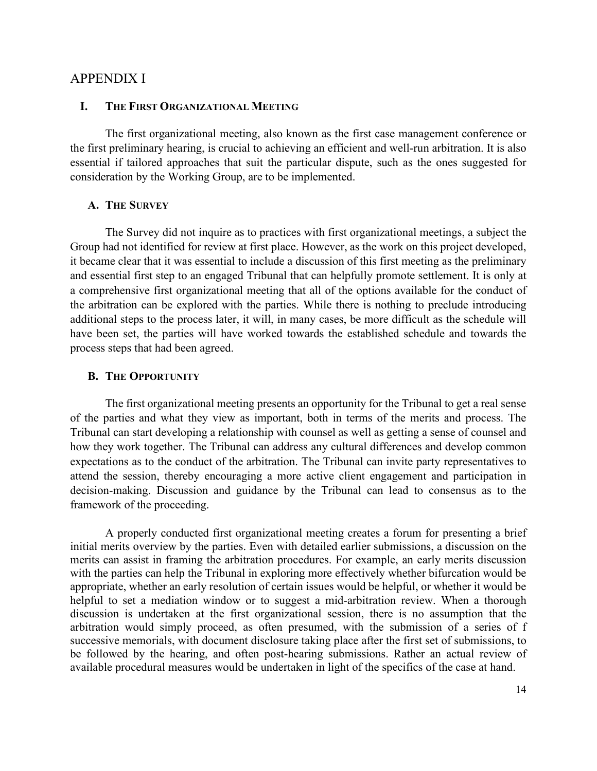## APPENDIX I

#### <span id="page-13-0"></span>**I. THE FIRST ORGANIZATIONAL MEETING**

The first organizational meeting, also known as the first case management conference or the first preliminary hearing, is crucial to achieving an efficient and well-run arbitration. It is also essential if tailored approaches that suit the particular dispute, such as the ones suggested for consideration by the Working Group, are to be implemented.

### <span id="page-13-1"></span>**A. THE SURVEY**

The Survey did not inquire as to practices with first organizational meetings, a subject the Group had not identified for review at first place. However, as the work on this project developed, it became clear that it was essential to include a discussion of this first meeting as the preliminary and essential first step to an engaged Tribunal that can helpfully promote settlement. It is only at a comprehensive first organizational meeting that all of the options available for the conduct of the arbitration can be explored with the parties. While there is nothing to preclude introducing additional steps to the process later, it will, in many cases, be more difficult as the schedule will have been set, the parties will have worked towards the established schedule and towards the process steps that had been agreed.

#### <span id="page-13-2"></span>**B. THE OPPORTUNITY**

The first organizational meeting presents an opportunity for the Tribunal to get a real sense of the parties and what they view as important, both in terms of the merits and process. The Tribunal can start developing a relationship with counsel as well as getting a sense of counsel and how they work together. The Tribunal can address any cultural differences and develop common expectations as to the conduct of the arbitration. The Tribunal can invite party representatives to attend the session, thereby encouraging a more active client engagement and participation in decision-making. Discussion and guidance by the Tribunal can lead to consensus as to the framework of the proceeding.

A properly conducted first organizational meeting creates a forum for presenting a brief initial merits overview by the parties. Even with detailed earlier submissions, a discussion on the merits can assist in framing the arbitration procedures. For example, an early merits discussion with the parties can help the Tribunal in exploring more effectively whether bifurcation would be appropriate, whether an early resolution of certain issues would be helpful, or whether it would be helpful to set a mediation window or to suggest a mid-arbitration review. When a thorough discussion is undertaken at the first organizational session, there is no assumption that the arbitration would simply proceed, as often presumed, with the submission of a series of f successive memorials, with document disclosure taking place after the first set of submissions, to be followed by the hearing, and often post-hearing submissions. Rather an actual review of available procedural measures would be undertaken in light of the specifics of the case at hand.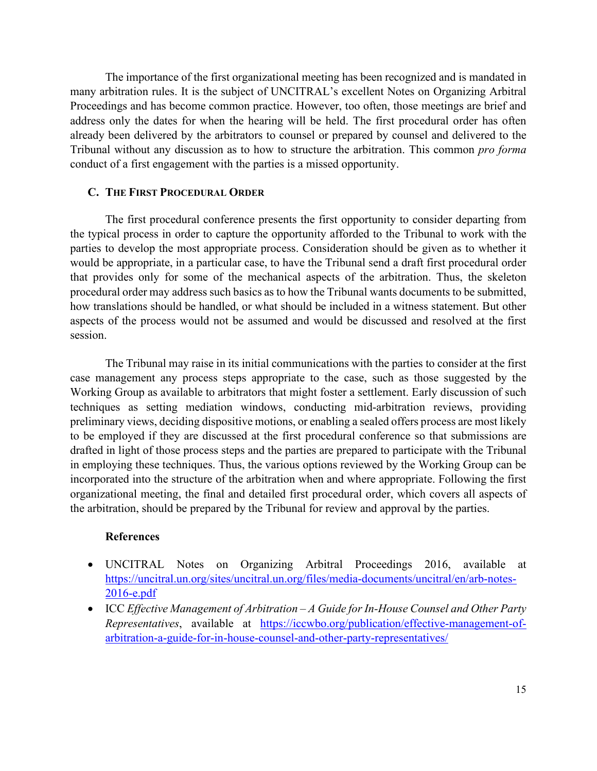The importance of the first organizational meeting has been recognized and is mandated in many arbitration rules. It is the subject of UNCITRAL's excellent Notes on Organizing Arbitral Proceedings and has become common practice. However, too often, those meetings are brief and address only the dates for when the hearing will be held. The first procedural order has often already been delivered by the arbitrators to counsel or prepared by counsel and delivered to the Tribunal without any discussion as to how to structure the arbitration. This common *pro forma* conduct of a first engagement with the parties is a missed opportunity.

### <span id="page-14-0"></span>**C. THE FIRST PROCEDURAL ORDER**

The first procedural conference presents the first opportunity to consider departing from the typical process in order to capture the opportunity afforded to the Tribunal to work with the parties to develop the most appropriate process. Consideration should be given as to whether it would be appropriate, in a particular case, to have the Tribunal send a draft first procedural order that provides only for some of the mechanical aspects of the arbitration. Thus, the skeleton procedural order may address such basics as to how the Tribunal wants documents to be submitted, how translations should be handled, or what should be included in a witness statement. But other aspects of the process would not be assumed and would be discussed and resolved at the first session.

The Tribunal may raise in its initial communications with the parties to consider at the first case management any process steps appropriate to the case, such as those suggested by the Working Group as available to arbitrators that might foster a settlement. Early discussion of such techniques as setting mediation windows, conducting mid-arbitration reviews, providing preliminary views, deciding dispositive motions, or enabling a sealed offers process are most likely to be employed if they are discussed at the first procedural conference so that submissions are drafted in light of those process steps and the parties are prepared to participate with the Tribunal in employing these techniques. Thus, the various options reviewed by the Working Group can be incorporated into the structure of the arbitration when and where appropriate. Following the first organizational meeting, the final and detailed first procedural order, which covers all aspects of the arbitration, should be prepared by the Tribunal for review and approval by the parties.

#### **References**

- UNCITRAL Notes on Organizing Arbitral Proceedings 2016, available at [https://uncitral.un.org/sites/uncitral.un.org/files/media-documents/uncitral/en/arb-notes-](https://uncitral.un.org/sites/uncitral.un.org/files/media-documents/uncitral/en/arb-notes-2016-e.pdf)[2016-e.pdf](https://uncitral.un.org/sites/uncitral.un.org/files/media-documents/uncitral/en/arb-notes-2016-e.pdf)
- ICC *Effective Management of Arbitration – A Guide for In-House Counsel and Other Party Representatives*, available at [https://iccwbo.org/publication/effective-management-of](https://iccwbo.org/publication/effective-management-of-arbitration-a-guide-for-in-house-counsel-and-other-party-representatives/)[arbitration-a-guide-for-in-house-counsel-and-other-party-representatives/](https://iccwbo.org/publication/effective-management-of-arbitration-a-guide-for-in-house-counsel-and-other-party-representatives/)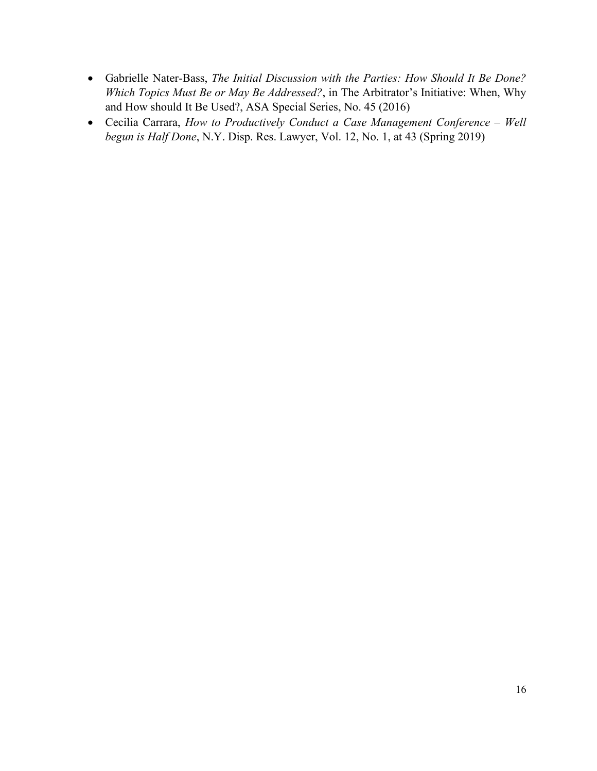- Gabrielle Nater-Bass, *The Initial Discussion with the Parties: How Should It Be Done? Which Topics Must Be or May Be Addressed?*, in The Arbitrator's Initiative: When, Why and How should It Be Used?, ASA Special Series, No. 45 (2016)
- Cecilia Carrara, *How to Productively Conduct a Case Management Conference – Well begun is Half Done*, N.Y. Disp. Res. Lawyer, Vol. 12, No. 1, at 43 (Spring 2019)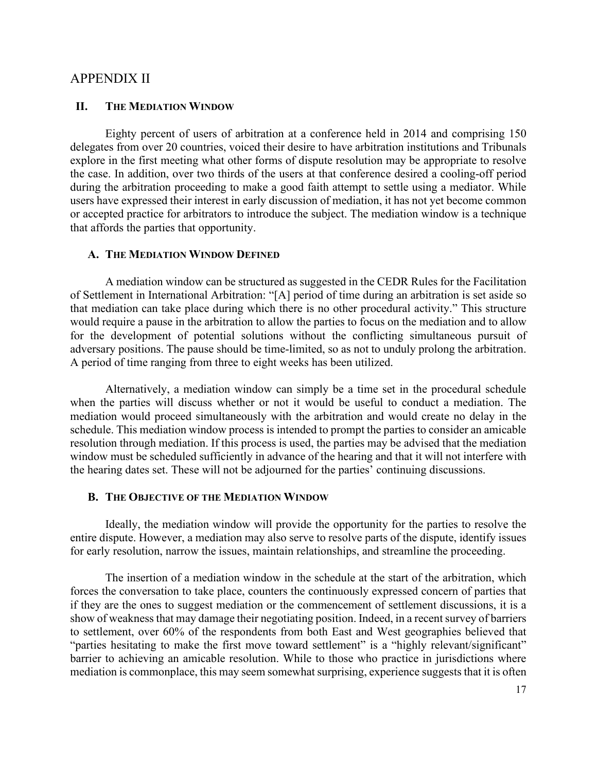## <span id="page-16-0"></span>APPENDIX II

#### <span id="page-16-1"></span>**II. THE MEDIATION WINDOW**

Eighty percent of users of arbitration at a conference held in 2014 and comprising 150 delegates from over 20 countries, voiced their desire to have arbitration institutions and Tribunals explore in the first meeting what other forms of dispute resolution may be appropriate to resolve the case. In addition, over two thirds of the users at that conference desired a cooling-off period during the arbitration proceeding to make a good faith attempt to settle using a mediator. While users have expressed their interest in early discussion of mediation, it has not yet become common or accepted practice for arbitrators to introduce the subject. The mediation window is a technique that affords the parties that opportunity.

#### <span id="page-16-2"></span>**A. THE MEDIATION WINDOW DEFINED**

A mediation window can be structured as suggested in the CEDR Rules for the Facilitation of Settlement in International Arbitration: "[A] period of time during an arbitration is set aside so that mediation can take place during which there is no other procedural activity." This structure would require a pause in the arbitration to allow the parties to focus on the mediation and to allow for the development of potential solutions without the conflicting simultaneous pursuit of adversary positions. The pause should be time-limited, so as not to unduly prolong the arbitration. A period of time ranging from three to eight weeks has been utilized.

Alternatively, a mediation window can simply be a time set in the procedural schedule when the parties will discuss whether or not it would be useful to conduct a mediation. The mediation would proceed simultaneously with the arbitration and would create no delay in the schedule. This mediation window process is intended to prompt the parties to consider an amicable resolution through mediation. If this process is used, the parties may be advised that the mediation window must be scheduled sufficiently in advance of the hearing and that it will not interfere with the hearing dates set. These will not be adjourned for the parties' continuing discussions.

#### <span id="page-16-3"></span>**B. THE OBJECTIVE OF THE MEDIATION WINDOW**

Ideally, the mediation window will provide the opportunity for the parties to resolve the entire dispute. However, a mediation may also serve to resolve parts of the dispute, identify issues for early resolution, narrow the issues, maintain relationships, and streamline the proceeding.

The insertion of a mediation window in the schedule at the start of the arbitration, which forces the conversation to take place, counters the continuously expressed concern of parties that if they are the ones to suggest mediation or the commencement of settlement discussions, it is a show of weakness that may damage their negotiating position. Indeed, in a recent survey of barriers to settlement, over 60% of the respondents from both East and West geographies believed that "parties hesitating to make the first move toward settlement" is a "highly relevant/significant" barrier to achieving an amicable resolution. While to those who practice in jurisdictions where mediation is commonplace, this may seem somewhat surprising, experience suggests that it is often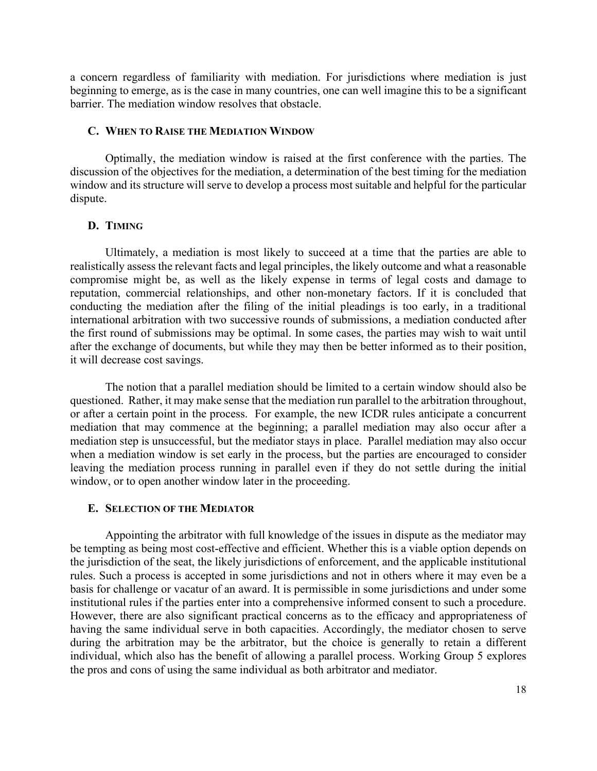a concern regardless of familiarity with mediation. For jurisdictions where mediation is just beginning to emerge, as is the case in many countries, one can well imagine this to be a significant barrier. The mediation window resolves that obstacle.

#### <span id="page-17-0"></span>**C. WHEN TO RAISE THE MEDIATION WINDOW**

Optimally, the mediation window is raised at the first conference with the parties. The discussion of the objectives for the mediation, a determination of the best timing for the mediation window and its structure will serve to develop a process most suitable and helpful for the particular dispute.

### <span id="page-17-1"></span>**D. TIMING**

Ultimately, a mediation is most likely to succeed at a time that the parties are able to realistically assess the relevant facts and legal principles, the likely outcome and what a reasonable compromise might be, as well as the likely expense in terms of legal costs and damage to reputation, commercial relationships, and other non-monetary factors. If it is concluded that conducting the mediation after the filing of the initial pleadings is too early, in a traditional international arbitration with two successive rounds of submissions, a mediation conducted after the first round of submissions may be optimal. In some cases, the parties may wish to wait until after the exchange of documents, but while they may then be better informed as to their position, it will decrease cost savings.

The notion that a parallel mediation should be limited to a certain window should also be questioned. Rather, it may make sense that the mediation run parallel to the arbitration throughout, or after a certain point in the process. For example, the new ICDR rules anticipate a concurrent mediation that may commence at the beginning; a parallel mediation may also occur after a mediation step is unsuccessful, but the mediator stays in place. Parallel mediation may also occur when a mediation window is set early in the process, but the parties are encouraged to consider leaving the mediation process running in parallel even if they do not settle during the initial window, or to open another window later in the proceeding.

#### <span id="page-17-2"></span>**E. SELECTION OF THE MEDIATOR**

Appointing the arbitrator with full knowledge of the issues in dispute as the mediator may be tempting as being most cost-effective and efficient. Whether this is a viable option depends on the jurisdiction of the seat, the likely jurisdictions of enforcement, and the applicable institutional rules. Such a process is accepted in some jurisdictions and not in others where it may even be a basis for challenge or vacatur of an award. It is permissible in some jurisdictions and under some institutional rules if the parties enter into a comprehensive informed consent to such a procedure. However, there are also significant practical concerns as to the efficacy and appropriateness of having the same individual serve in both capacities. Accordingly, the mediator chosen to serve during the arbitration may be the arbitrator, but the choice is generally to retain a different individual, which also has the benefit of allowing a parallel process. Working Group 5 explores the pros and cons of using the same individual as both arbitrator and mediator.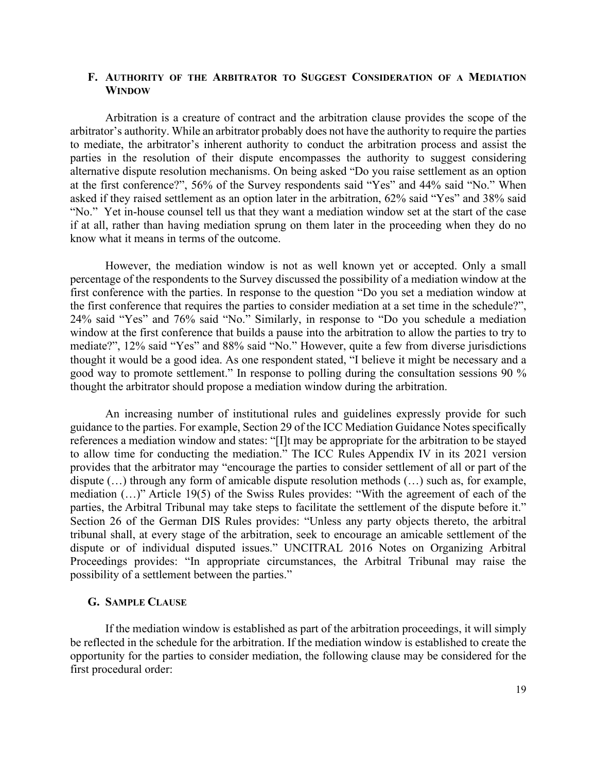### <span id="page-18-0"></span>**F. AUTHORITY OF THE ARBITRATOR TO SUGGEST CONSIDERATION OF A MEDIATION WINDOW**

Arbitration is a creature of contract and the arbitration clause provides the scope of the arbitrator's authority. While an arbitrator probably does not have the authority to require the parties to mediate, the arbitrator's inherent authority to conduct the arbitration process and assist the parties in the resolution of their dispute encompasses the authority to suggest considering alternative dispute resolution mechanisms. On being asked "Do you raise settlement as an option at the first conference?", 56% of the Survey respondents said "Yes" and 44% said "No." When asked if they raised settlement as an option later in the arbitration, 62% said "Yes" and 38% said "No." Yet in-house counsel tell us that they want a mediation window set at the start of the case if at all, rather than having mediation sprung on them later in the proceeding when they do no know what it means in terms of the outcome.

However, the mediation window is not as well known yet or accepted. Only a small percentage of the respondents to the Survey discussed the possibility of a mediation window at the first conference with the parties. In response to the question "Do you set a mediation window at the first conference that requires the parties to consider mediation at a set time in the schedule?", 24% said "Yes" and 76% said "No." Similarly, in response to "Do you schedule a mediation window at the first conference that builds a pause into the arbitration to allow the parties to try to mediate?", 12% said "Yes" and 88% said "No." However, quite a few from diverse jurisdictions thought it would be a good idea. As one respondent stated, "I believe it might be necessary and a good way to promote settlement." In response to polling during the consultation sessions 90 % thought the arbitrator should propose a mediation window during the arbitration.

An increasing number of institutional rules and guidelines expressly provide for such guidance to the parties. For example, Section 29 of the ICC Mediation Guidance Notes specifically references a mediation window and states: "[I]t may be appropriate for the arbitration to be stayed to allow time for conducting the mediation." The ICC Rules Appendix IV in its 2021 version provides that the arbitrator may "encourage the parties to consider settlement of all or part of the dispute (…) through any form of amicable dispute resolution methods (…) such as, for example, mediation (…)" Article 19(5) of the Swiss Rules provides: "With the agreement of each of the parties, the Arbitral Tribunal may take steps to facilitate the settlement of the dispute before it." Section 26 of the German DIS Rules provides: "Unless any party objects thereto, the arbitral tribunal shall, at every stage of the arbitration, seek to encourage an amicable settlement of the dispute or of individual disputed issues." UNCITRAL 2016 Notes on Organizing Arbitral Proceedings provides: "In appropriate circumstances, the Arbitral Tribunal may raise the possibility of a settlement between the parties."

#### <span id="page-18-1"></span>**G. SAMPLE CLAUSE**

If the mediation window is established as part of the arbitration proceedings, it will simply be reflected in the schedule for the arbitration. If the mediation window is established to create the opportunity for the parties to consider mediation, the following clause may be considered for the first procedural order: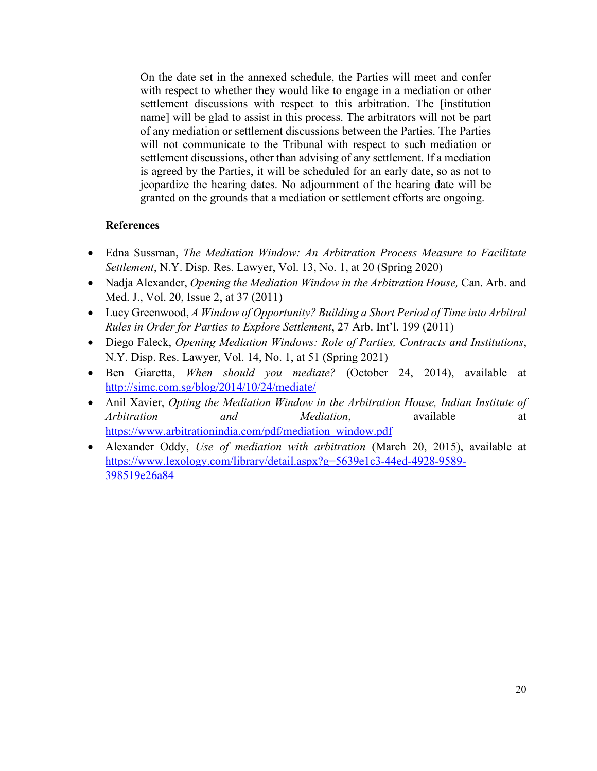On the date set in the annexed schedule, the Parties will meet and confer with respect to whether they would like to engage in a mediation or other settlement discussions with respect to this arbitration. The [institution name] will be glad to assist in this process. The arbitrators will not be part of any mediation or settlement discussions between the Parties. The Parties will not communicate to the Tribunal with respect to such mediation or settlement discussions, other than advising of any settlement. If a mediation is agreed by the Parties, it will be scheduled for an early date, so as not to jeopardize the hearing dates. No adjournment of the hearing date will be granted on the grounds that a mediation or settlement efforts are ongoing.

## **References**

- Edna Sussman, *The Mediation Window: An Arbitration Process Measure to Facilitate Settlement*, N.Y. Disp. Res. Lawyer, Vol. 13, No. 1, at 20 (Spring 2020)
- Nadja Alexander, *Opening the Mediation Window in the Arbitration House*, Can. Arb. and Med. J., Vol. 20, Issue 2, at 37 (2011)
- Lucy Greenwood, *A Window of Opportunity? Building a Short Period of Time into Arbitral Rules in Order for Parties to Explore Settlement*, 27 Arb. Int'l. 199 (2011)
- Diego Faleck, *Opening Mediation Windows: Role of Parties, Contracts and Institutions*, N.Y. Disp. Res. Lawyer, Vol. 14, No. 1, at 51 (Spring 2021)
- Ben Giaretta, *When should you mediate?* (October 24, 2014), available at <http://simc.com.sg/blog/2014/10/24/mediate/>
- Anil Xavier, *Opting the Mediation Window in the Arbitration House, Indian Institute of Arbitration and Mediation*, available at [https://www.arbitrationindia.com/pdf/mediation\\_window.pdf](https://www.arbitrationindia.com/pdf/mediation_window.pdf)
- Alexander Oddy, *Use of mediation with arbitration* (March 20, 2015), available at [https://www.lexology.com/library/detail.aspx?g=5639e1c3-44ed-4928-9589-](https://www.lexology.com/library/detail.aspx?g=5639e1c3-44ed-4928-9589-398519e26a84) [398519e26a84](https://www.lexology.com/library/detail.aspx?g=5639e1c3-44ed-4928-9589-398519e26a84)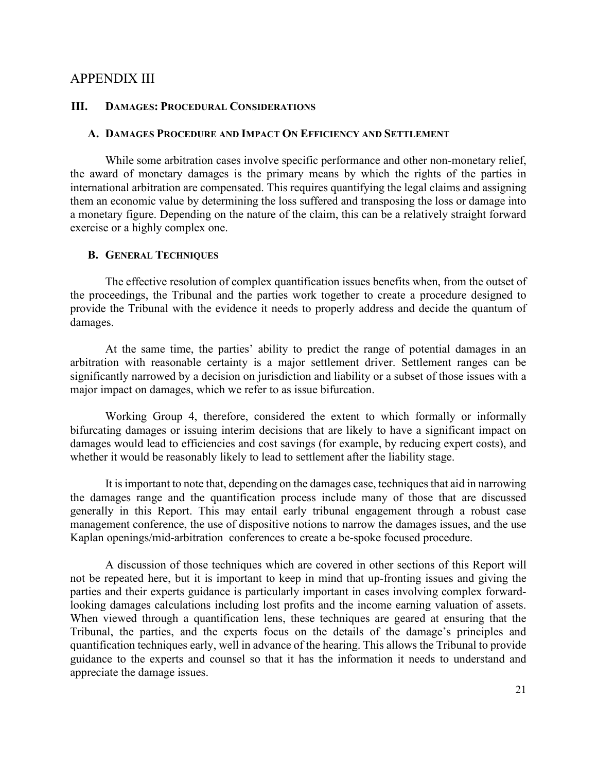## <span id="page-20-0"></span>APPENDIX III

#### <span id="page-20-1"></span>**III. DAMAGES: PROCEDURAL CONSIDERATIONS**

#### <span id="page-20-2"></span>**A. DAMAGES PROCEDURE AND IMPACT ON EFFICIENCY AND SETTLEMENT**

While some arbitration cases involve specific performance and other non-monetary relief, the award of monetary damages is the primary means by which the rights of the parties in international arbitration are compensated. This requires quantifying the legal claims and assigning them an economic value by determining the loss suffered and transposing the loss or damage into a monetary figure. Depending on the nature of the claim, this can be a relatively straight forward exercise or a highly complex one.

#### <span id="page-20-3"></span>**B. GENERAL TECHNIQUES**

The effective resolution of complex quantification issues benefits when, from the outset of the proceedings, the Tribunal and the parties work together to create a procedure designed to provide the Tribunal with the evidence it needs to properly address and decide the quantum of damages.

At the same time, the parties' ability to predict the range of potential damages in an arbitration with reasonable certainty is a major settlement driver. Settlement ranges can be significantly narrowed by a decision on jurisdiction and liability or a subset of those issues with a major impact on damages, which we refer to as issue bifurcation.

Working Group 4, therefore, considered the extent to which formally or informally bifurcating damages or issuing interim decisions that are likely to have a significant impact on damages would lead to efficiencies and cost savings (for example, by reducing expert costs), and whether it would be reasonably likely to lead to settlement after the liability stage.

It is important to note that, depending on the damages case, techniques that aid in narrowing the damages range and the quantification process include many of those that are discussed generally in this Report. This may entail early tribunal engagement through a robust case management conference, the use of dispositive notions to narrow the damages issues, and the use Kaplan openings/mid-arbitration conferences to create a be-spoke focused procedure.

A discussion of those techniques which are covered in other sections of this Report will not be repeated here, but it is important to keep in mind that up-fronting issues and giving the parties and their experts guidance is particularly important in cases involving complex forwardlooking damages calculations including lost profits and the income earning valuation of assets. When viewed through a quantification lens, these techniques are geared at ensuring that the Tribunal, the parties, and the experts focus on the details of the damage's principles and quantification techniques early, well in advance of the hearing. This allows the Tribunal to provide guidance to the experts and counsel so that it has the information it needs to understand and appreciate the damage issues.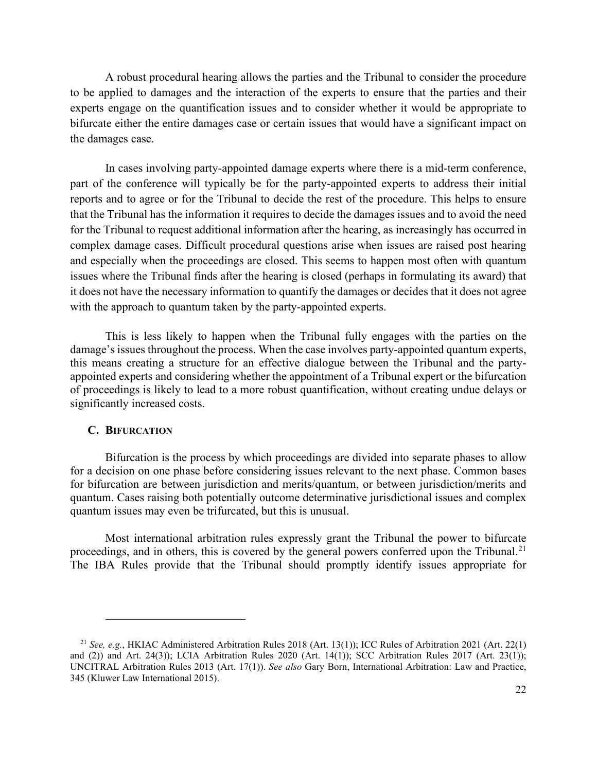A robust procedural hearing allows the parties and the Tribunal to consider the procedure to be applied to damages and the interaction of the experts to ensure that the parties and their experts engage on the quantification issues and to consider whether it would be appropriate to bifurcate either the entire damages case or certain issues that would have a significant impact on the damages case.

In cases involving party-appointed damage experts where there is a mid-term conference, part of the conference will typically be for the party-appointed experts to address their initial reports and to agree or for the Tribunal to decide the rest of the procedure. This helps to ensure that the Tribunal has the information it requires to decide the damages issues and to avoid the need for the Tribunal to request additional information after the hearing, as increasingly has occurred in complex damage cases. Difficult procedural questions arise when issues are raised post hearing and especially when the proceedings are closed. This seems to happen most often with quantum issues where the Tribunal finds after the hearing is closed (perhaps in formulating its award) that it does not have the necessary information to quantify the damages or decides that it does not agree with the approach to quantum taken by the party-appointed experts.

This is less likely to happen when the Tribunal fully engages with the parties on the damage's issues throughout the process. When the case involves party-appointed quantum experts, this means creating a structure for an effective dialogue between the Tribunal and the partyappointed experts and considering whether the appointment of a Tribunal expert or the bifurcation of proceedings is likely to lead to a more robust quantification, without creating undue delays or significantly increased costs.

#### <span id="page-21-0"></span>**C. BIFURCATION**

Bifurcation is the process by which proceedings are divided into separate phases to allow for a decision on one phase before considering issues relevant to the next phase. Common bases for bifurcation are between jurisdiction and merits/quantum, or between jurisdiction/merits and quantum. Cases raising both potentially outcome determinative jurisdictional issues and complex quantum issues may even be trifurcated, but this is unusual.

Most international arbitration rules expressly grant the Tribunal the power to bifurcate proceedings, and in others, this is covered by the general powers conferred upon the Tribunal.<sup>[21](#page-21-1)</sup> The IBA Rules provide that the Tribunal should promptly identify issues appropriate for

<span id="page-21-1"></span><sup>21</sup> *See, e.g.*, HKIAC Administered Arbitration Rules 2018 (Art. 13(1)); ICC Rules of Arbitration 2021 (Art. 22(1) and (2)) and Art. 24(3)); LCIA Arbitration Rules 2020 (Art. 14(1)); SCC Arbitration Rules 2017 (Art. 23(1)); UNCITRAL Arbitration Rules 2013 (Art. 17(1)). *See also* Gary Born, International Arbitration: Law and Practice, 345 (Kluwer Law International 2015).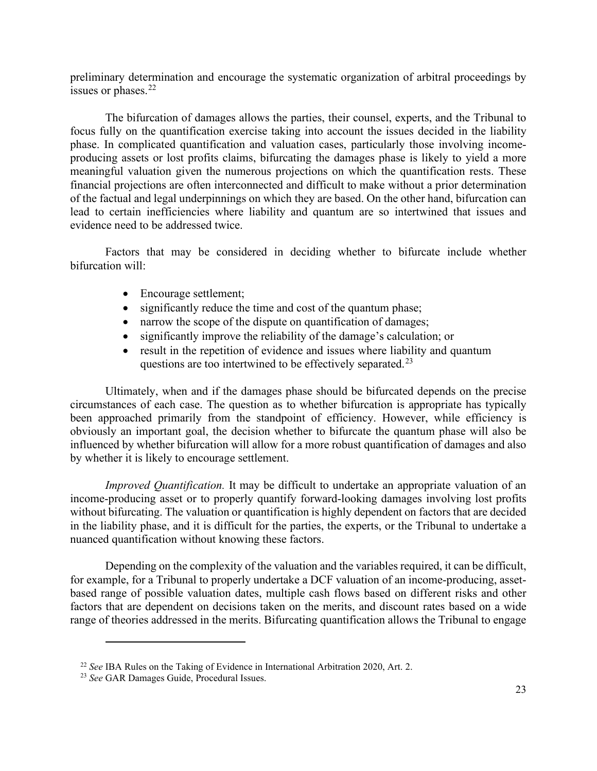preliminary determination and encourage the systematic organization of arbitral proceedings by issues or phases.<sup>[22](#page-22-0)</sup>

The bifurcation of damages allows the parties, their counsel, experts, and the Tribunal to focus fully on the quantification exercise taking into account the issues decided in the liability phase. In complicated quantification and valuation cases, particularly those involving incomeproducing assets or lost profits claims, bifurcating the damages phase is likely to yield a more meaningful valuation given the numerous projections on which the quantification rests. These financial projections are often interconnected and difficult to make without a prior determination of the factual and legal underpinnings on which they are based. On the other hand, bifurcation can lead to certain inefficiencies where liability and quantum are so intertwined that issues and evidence need to be addressed twice.

Factors that may be considered in deciding whether to bifurcate include whether bifurcation will:

- Encourage settlement;
- significantly reduce the time and cost of the quantum phase;
- narrow the scope of the dispute on quantification of damages;
- significantly improve the reliability of the damage's calculation; or
- result in the repetition of evidence and issues where liability and quantum questions are too intertwined to be effectively separated.<sup>[23](#page-22-1)</sup>

Ultimately, when and if the damages phase should be bifurcated depends on the precise circumstances of each case. The question as to whether bifurcation is appropriate has typically been approached primarily from the standpoint of efficiency. However, while efficiency is obviously an important goal, the decision whether to bifurcate the quantum phase will also be influenced by whether bifurcation will allow for a more robust quantification of damages and also by whether it is likely to encourage settlement.

*Improved Quantification.* It may be difficult to undertake an appropriate valuation of an income-producing asset or to properly quantify forward-looking damages involving lost profits without bifurcating. The valuation or quantification is highly dependent on factors that are decided in the liability phase, and it is difficult for the parties, the experts, or the Tribunal to undertake a nuanced quantification without knowing these factors.

Depending on the complexity of the valuation and the variables required, it can be difficult, for example, for a Tribunal to properly undertake a DCF valuation of an income-producing, assetbased range of possible valuation dates, multiple cash flows based on different risks and other factors that are dependent on decisions taken on the merits, and discount rates based on a wide range of theories addressed in the merits. Bifurcating quantification allows the Tribunal to engage

<span id="page-22-0"></span><sup>22</sup> *See* IBA Rules on the Taking of Evidence in International Arbitration 2020, Art. 2.

<span id="page-22-1"></span><sup>23</sup> *See* GAR Damages Guide, Procedural Issues.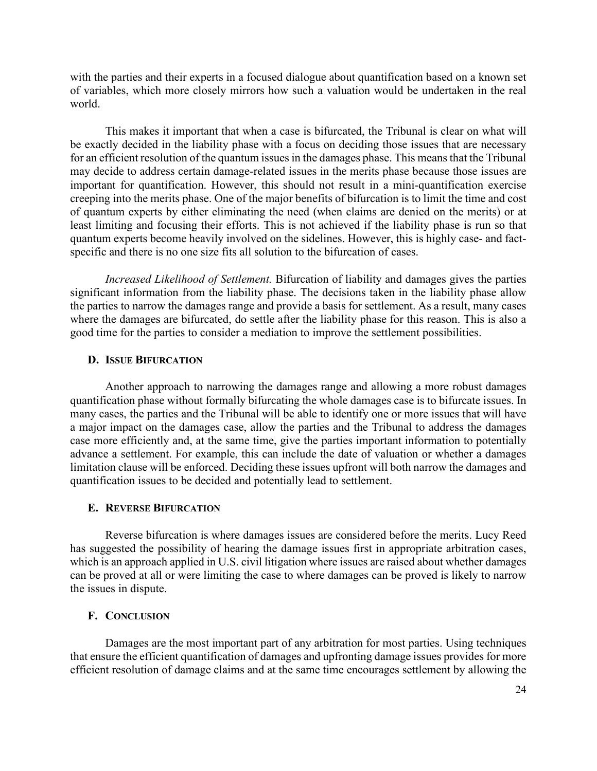with the parties and their experts in a focused dialogue about quantification based on a known set of variables, which more closely mirrors how such a valuation would be undertaken in the real world.

This makes it important that when a case is bifurcated, the Tribunal is clear on what will be exactly decided in the liability phase with a focus on deciding those issues that are necessary for an efficient resolution of the quantum issues in the damages phase. This means that the Tribunal may decide to address certain damage-related issues in the merits phase because those issues are important for quantification. However, this should not result in a mini-quantification exercise creeping into the merits phase. One of the major benefits of bifurcation is to limit the time and cost of quantum experts by either eliminating the need (when claims are denied on the merits) or at least limiting and focusing their efforts. This is not achieved if the liability phase is run so that quantum experts become heavily involved on the sidelines. However, this is highly case- and factspecific and there is no one size fits all solution to the bifurcation of cases.

*Increased Likelihood of Settlement.* Bifurcation of liability and damages gives the parties significant information from the liability phase. The decisions taken in the liability phase allow the parties to narrow the damages range and provide a basis for settlement. As a result, many cases where the damages are bifurcated, do settle after the liability phase for this reason. This is also a good time for the parties to consider a mediation to improve the settlement possibilities.

#### <span id="page-23-0"></span>**D. ISSUE BIFURCATION**

Another approach to narrowing the damages range and allowing a more robust damages quantification phase without formally bifurcating the whole damages case is to bifurcate issues. In many cases, the parties and the Tribunal will be able to identify one or more issues that will have a major impact on the damages case, allow the parties and the Tribunal to address the damages case more efficiently and, at the same time, give the parties important information to potentially advance a settlement. For example, this can include the date of valuation or whether a damages limitation clause will be enforced. Deciding these issues upfront will both narrow the damages and quantification issues to be decided and potentially lead to settlement.

#### <span id="page-23-1"></span>**E. REVERSE BIFURCATION**

Reverse bifurcation is where damages issues are considered before the merits. Lucy Reed has suggested the possibility of hearing the damage issues first in appropriate arbitration cases, which is an approach applied in U.S. civil litigation where issues are raised about whether damages can be proved at all or were limiting the case to where damages can be proved is likely to narrow the issues in dispute.

#### <span id="page-23-2"></span>**F. CONCLUSION**

Damages are the most important part of any arbitration for most parties. Using techniques that ensure the efficient quantification of damages and upfronting damage issues provides for more efficient resolution of damage claims and at the same time encourages settlement by allowing the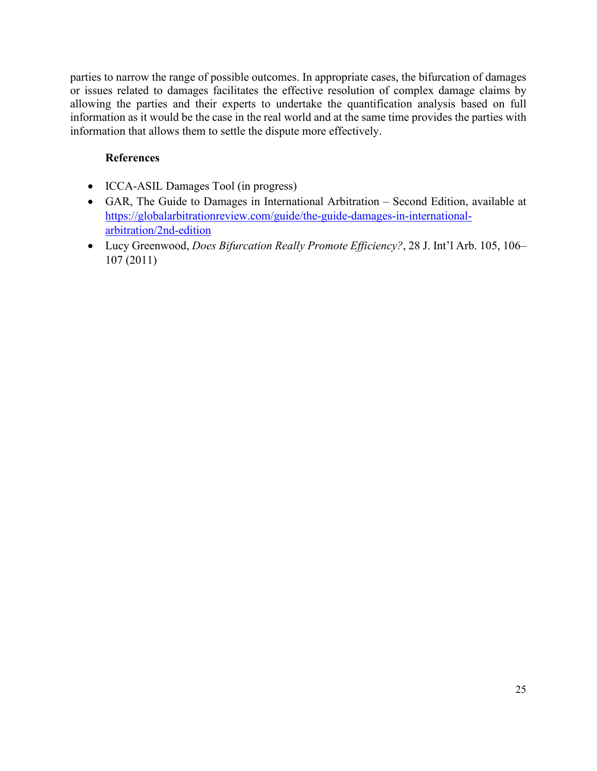parties to narrow the range of possible outcomes. In appropriate cases, the bifurcation of damages or issues related to damages facilitates the effective resolution of complex damage claims by allowing the parties and their experts to undertake the quantification analysis based on full information as it would be the case in the real world and at the same time provides the parties with information that allows them to settle the dispute more effectively.

## **References**

- ICCA-ASIL Damages Tool (in progress)
- GAR, The Guide to Damages in International Arbitration Second Edition, available at [https://globalarbitrationreview.com/guide/the-guide-damages-in-international](https://globalarbitrationreview.com/guide/the-guide-damages-in-international-arbitration/2nd-edition)[arbitration/2nd-edition](https://globalarbitrationreview.com/guide/the-guide-damages-in-international-arbitration/2nd-edition)
- Lucy Greenwood, *Does Bifurcation Really Promote Efficiency?*, 28 J. Int'l Arb. 105, 106– 107 (2011)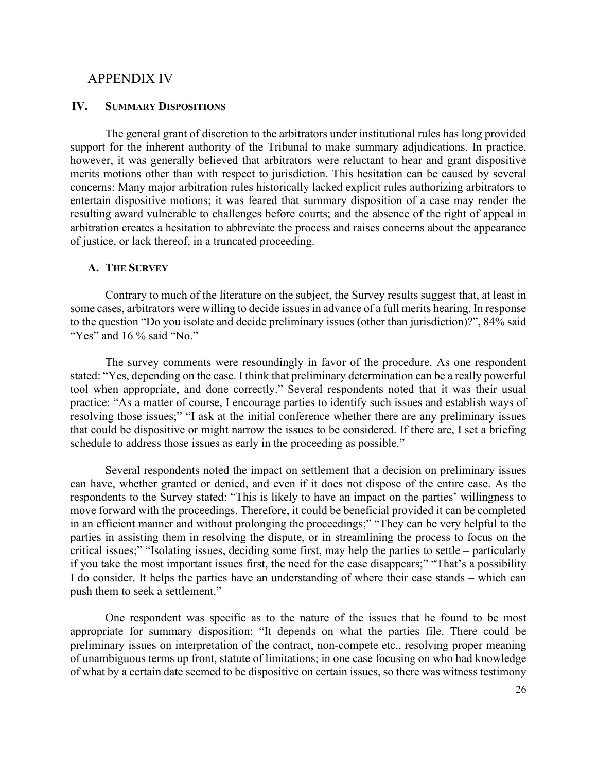### <span id="page-25-0"></span>APPENDIX IV

#### <span id="page-25-1"></span>**IV. SUMMARY DISPOSITIONS**

The general grant of discretion to the arbitrators under institutional rules has long provided support for the inherent authority of the Tribunal to make summary adjudications. In practice, however, it was generally believed that arbitrators were reluctant to hear and grant dispositive merits motions other than with respect to jurisdiction. This hesitation can be caused by several concerns: Many major arbitration rules historically lacked explicit rules authorizing arbitrators to entertain dispositive motions; it was feared that summary disposition of a case may render the resulting award vulnerable to challenges before courts; and the absence of the right of appeal in arbitration creates a hesitation to abbreviate the process and raises concerns about the appearance of justice, or lack thereof, in a truncated proceeding.

#### <span id="page-25-2"></span>**A. THE SURVEY**

Contrary to much of the literature on the subject, the Survey results suggest that, at least in some cases, arbitrators were willing to decide issues in advance of a full merits hearing. In response to the question "Do you isolate and decide preliminary issues (other than jurisdiction)?", 84% said "Yes" and 16 % said "No."

The survey comments were resoundingly in favor of the procedure. As one respondent stated: "Yes, depending on the case. I think that preliminary determination can be a really powerful tool when appropriate, and done correctly." Several respondents noted that it was their usual practice: "As a matter of course, I encourage parties to identify such issues and establish ways of resolving those issues;" "I ask at the initial conference whether there are any preliminary issues that could be dispositive or might narrow the issues to be considered. If there are, I set a briefing schedule to address those issues as early in the proceeding as possible."

Several respondents noted the impact on settlement that a decision on preliminary issues can have, whether granted or denied, and even if it does not dispose of the entire case. As the respondents to the Survey stated: "This is likely to have an impact on the parties' willingness to move forward with the proceedings. Therefore, it could be beneficial provided it can be completed in an efficient manner and without prolonging the proceedings;" "They can be very helpful to the parties in assisting them in resolving the dispute, or in streamlining the process to focus on the critical issues;" "Isolating issues, deciding some first, may help the parties to settle – particularly if you take the most important issues first, the need for the case disappears;" "That's a possibility I do consider. It helps the parties have an understanding of where their case stands – which can push them to seek a settlement."

One respondent was specific as to the nature of the issues that he found to be most appropriate for summary disposition: "It depends on what the parties file. There could be preliminary issues on interpretation of the contract, non-compete etc., resolving proper meaning of unambiguous terms up front, statute of limitations; in one case focusing on who had knowledge of what by a certain date seemed to be dispositive on certain issues, so there was witness testimony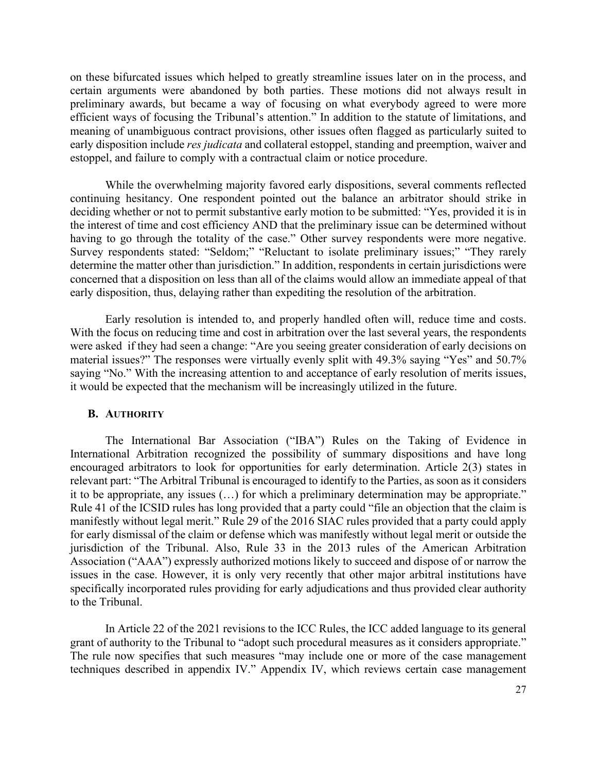on these bifurcated issues which helped to greatly streamline issues later on in the process, and certain arguments were abandoned by both parties. These motions did not always result in preliminary awards, but became a way of focusing on what everybody agreed to were more efficient ways of focusing the Tribunal's attention." In addition to the statute of limitations, and meaning of unambiguous contract provisions, other issues often flagged as particularly suited to early disposition include *res judicata* and collateral estoppel, standing and preemption, waiver and estoppel, and failure to comply with a contractual claim or notice procedure.

While the overwhelming majority favored early dispositions, several comments reflected continuing hesitancy. One respondent pointed out the balance an arbitrator should strike in deciding whether or not to permit substantive early motion to be submitted: "Yes, provided it is in the interest of time and cost efficiency AND that the preliminary issue can be determined without having to go through the totality of the case." Other survey respondents were more negative. Survey respondents stated: "Seldom;" "Reluctant to isolate preliminary issues;" "They rarely determine the matter other than jurisdiction." In addition, respondents in certain jurisdictions were concerned that a disposition on less than all of the claims would allow an immediate appeal of that early disposition, thus, delaying rather than expediting the resolution of the arbitration.

Early resolution is intended to, and properly handled often will, reduce time and costs. With the focus on reducing time and cost in arbitration over the last several years, the respondents were asked if they had seen a change: "Are you seeing greater consideration of early decisions on material issues?" The responses were virtually evenly split with 49.3% saying "Yes" and 50.7% saying "No." With the increasing attention to and acceptance of early resolution of merits issues, it would be expected that the mechanism will be increasingly utilized in the future.

#### <span id="page-26-0"></span>**B. AUTHORITY**

The International Bar Association ("IBA") Rules on the Taking of Evidence in International Arbitration recognized the possibility of summary dispositions and have long encouraged arbitrators to look for opportunities for early determination. Article 2(3) states in relevant part: "The Arbitral Tribunal is encouraged to identify to the Parties, as soon as it considers it to be appropriate, any issues (…) for which a preliminary determination may be appropriate." Rule 41 of the ICSID rules has long provided that a party could "file an objection that the claim is manifestly without legal merit." Rule 29 of the 2016 SIAC rules provided that a party could apply for early dismissal of the claim or defense which was manifestly without legal merit or outside the jurisdiction of the Tribunal. Also, Rule 33 in the 2013 rules of the American Arbitration Association ("AAA") expressly authorized motions likely to succeed and dispose of or narrow the issues in the case. However, it is only very recently that other major arbitral institutions have specifically incorporated rules providing for early adjudications and thus provided clear authority to the Tribunal.

In Article 22 of the 2021 revisions to the ICC Rules, the ICC added language to its general grant of authority to the Tribunal to "adopt such procedural measures as it considers appropriate." The rule now specifies that such measures "may include one or more of the case management techniques described in appendix IV." Appendix IV, which reviews certain case management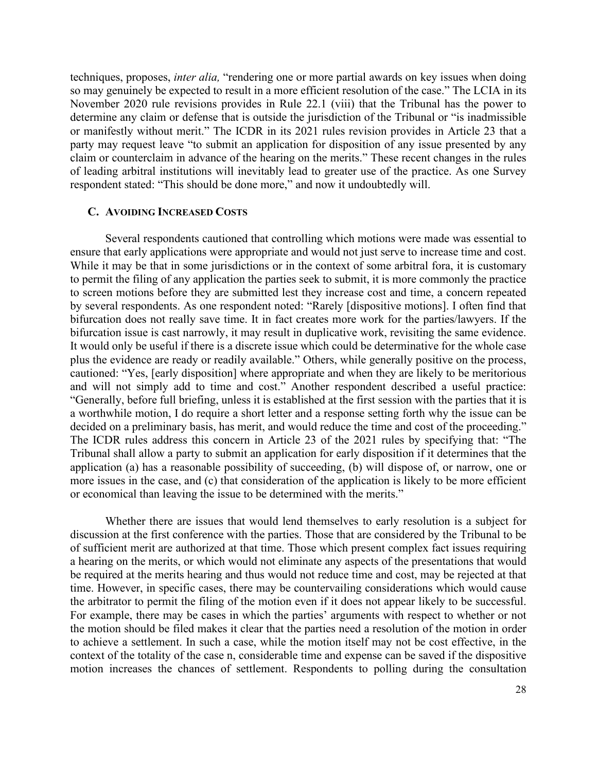techniques, proposes, *inter alia,* "rendering one or more partial awards on key issues when doing so may genuinely be expected to result in a more efficient resolution of the case." The LCIA in its November 2020 rule revisions provides in Rule 22.1 (viii) that the Tribunal has the power to determine any claim or defense that is outside the jurisdiction of the Tribunal or "is inadmissible or manifestly without merit." The ICDR in its 2021 rules revision provides in Article 23 that a party may request leave "to submit an application for disposition of any issue presented by any claim or counterclaim in advance of the hearing on the merits." These recent changes in the rules of leading arbitral institutions will inevitably lead to greater use of the practice. As one Survey respondent stated: "This should be done more," and now it undoubtedly will.

#### <span id="page-27-0"></span>**C. AVOIDING INCREASED COSTS**

Several respondents cautioned that controlling which motions were made was essential to ensure that early applications were appropriate and would not just serve to increase time and cost. While it may be that in some jurisdictions or in the context of some arbitral fora, it is customary to permit the filing of any application the parties seek to submit, it is more commonly the practice to screen motions before they are submitted lest they increase cost and time, a concern repeated by several respondents. As one respondent noted: "Rarely [dispositive motions]. I often find that bifurcation does not really save time. It in fact creates more work for the parties/lawyers. If the bifurcation issue is cast narrowly, it may result in duplicative work, revisiting the same evidence. It would only be useful if there is a discrete issue which could be determinative for the whole case plus the evidence are ready or readily available." Others, while generally positive on the process, cautioned: "Yes, [early disposition] where appropriate and when they are likely to be meritorious and will not simply add to time and cost." Another respondent described a useful practice: "Generally, before full briefing, unless it is established at the first session with the parties that it is a worthwhile motion, I do require a short letter and a response setting forth why the issue can be decided on a preliminary basis, has merit, and would reduce the time and cost of the proceeding." The ICDR rules address this concern in Article 23 of the 2021 rules by specifying that: "The Tribunal shall allow a party to submit an application for early disposition if it determines that the application (a) has a reasonable possibility of succeeding, (b) will dispose of, or narrow, one or more issues in the case, and (c) that consideration of the application is likely to be more efficient or economical than leaving the issue to be determined with the merits."

Whether there are issues that would lend themselves to early resolution is a subject for discussion at the first conference with the parties. Those that are considered by the Tribunal to be of sufficient merit are authorized at that time. Those which present complex fact issues requiring a hearing on the merits, or which would not eliminate any aspects of the presentations that would be required at the merits hearing and thus would not reduce time and cost, may be rejected at that time. However, in specific cases, there may be countervailing considerations which would cause the arbitrator to permit the filing of the motion even if it does not appear likely to be successful. For example, there may be cases in which the parties' arguments with respect to whether or not the motion should be filed makes it clear that the parties need a resolution of the motion in order to achieve a settlement. In such a case, while the motion itself may not be cost effective, in the context of the totality of the case n, considerable time and expense can be saved if the dispositive motion increases the chances of settlement. Respondents to polling during the consultation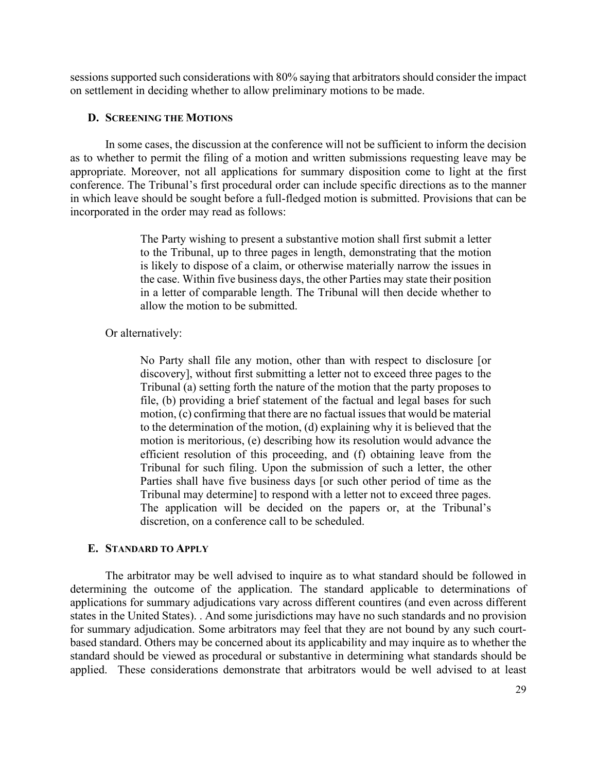sessions supported such considerations with 80% saying that arbitrators should consider the impact on settlement in deciding whether to allow preliminary motions to be made.

## <span id="page-28-0"></span>**D. SCREENING THE MOTIONS**

In some cases, the discussion at the conference will not be sufficient to inform the decision as to whether to permit the filing of a motion and written submissions requesting leave may be appropriate. Moreover, not all applications for summary disposition come to light at the first conference. The Tribunal's first procedural order can include specific directions as to the manner in which leave should be sought before a full-fledged motion is submitted. Provisions that can be incorporated in the order may read as follows:

> The Party wishing to present a substantive motion shall first submit a letter to the Tribunal, up to three pages in length, demonstrating that the motion is likely to dispose of a claim, or otherwise materially narrow the issues in the case. Within five business days, the other Parties may state their position in a letter of comparable length. The Tribunal will then decide whether to allow the motion to be submitted.

#### Or alternatively:

No Party shall file any motion, other than with respect to disclosure [or discovery], without first submitting a letter not to exceed three pages to the Tribunal (a) setting forth the nature of the motion that the party proposes to file, (b) providing a brief statement of the factual and legal bases for such motion, (c) confirming that there are no factual issues that would be material to the determination of the motion, (d) explaining why it is believed that the motion is meritorious, (e) describing how its resolution would advance the efficient resolution of this proceeding, and (f) obtaining leave from the Tribunal for such filing. Upon the submission of such a letter, the other Parties shall have five business days [or such other period of time as the Tribunal may determine] to respond with a letter not to exceed three pages. The application will be decided on the papers or, at the Tribunal's discretion, on a conference call to be scheduled.

#### <span id="page-28-1"></span>**E. STANDARD TO APPLY**

The arbitrator may be well advised to inquire as to what standard should be followed in determining the outcome of the application. The standard applicable to determinations of applications for summary adjudications vary across different countires (and even across different states in the United States). . And some jurisdictions may have no such standards and no provision for summary adjudication. Some arbitrators may feel that they are not bound by any such courtbased standard. Others may be concerned about its applicability and may inquire as to whether the standard should be viewed as procedural or substantive in determining what standards should be applied. These considerations demonstrate that arbitrators would be well advised to at least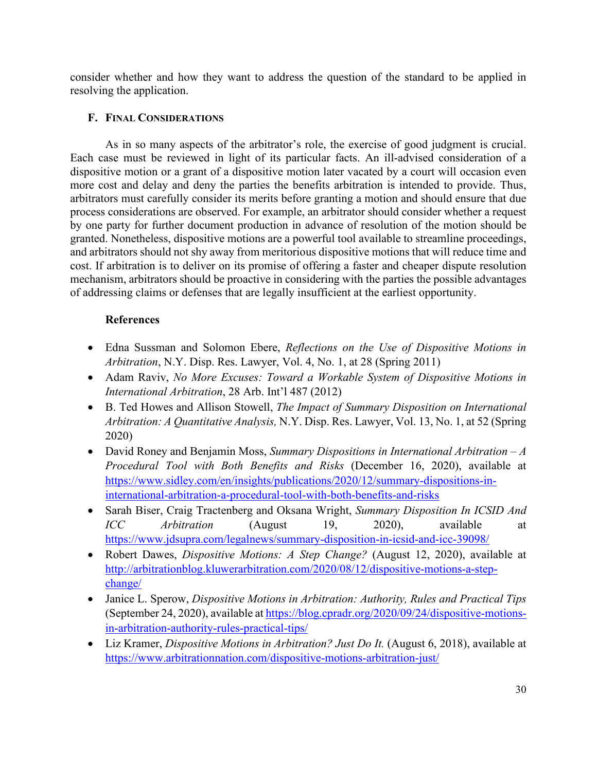consider whether and how they want to address the question of the standard to be applied in resolving the application.

## <span id="page-29-0"></span>**F. FINAL CONSIDERATIONS**

As in so many aspects of the arbitrator's role, the exercise of good judgment is crucial. Each case must be reviewed in light of its particular facts. An ill-advised consideration of a dispositive motion or a grant of a dispositive motion later vacated by a court will occasion even more cost and delay and deny the parties the benefits arbitration is intended to provide. Thus, arbitrators must carefully consider its merits before granting a motion and should ensure that due process considerations are observed. For example, an arbitrator should consider whether a request by one party for further document production in advance of resolution of the motion should be granted. Nonetheless, dispositive motions are a powerful tool available to streamline proceedings, and arbitrators should not shy away from meritorious dispositive motions that will reduce time and cost. If arbitration is to deliver on its promise of offering a faster and cheaper dispute resolution mechanism, arbitrators should be proactive in considering with the parties the possible advantages of addressing claims or defenses that are legally insufficient at the earliest opportunity.

## **References**

- Edna Sussman and Solomon Ebere, *Reflections on the Use of Dispositive Motions in Arbitration*, N.Y. Disp. Res. Lawyer, Vol. 4, No. 1, at 28 (Spring 2011)
- Adam Raviv, *No More Excuses: Toward a Workable System of Dispositive Motions in International Arbitration*, 28 Arb. Int'l 487 (2012)
- B. Ted Howes and Allison Stowell, *The Impact of Summary Disposition on International Arbitration: A Quantitative Analysis,* N.Y. Disp. Res. Lawyer, Vol. 13, No. 1, at 52 (Spring 2020)
- David Roney and Benjamin Moss, *Summary Dispositions in International Arbitration – A Procedural Tool with Both Benefits and Risks* (December 16, 2020), available at [https://www.sidley.com/en/insights/publications/2020/12/summary-dispositions-in](https://www.sidley.com/en/insights/publications/2020/12/summary-dispositions-in-international-arbitration-a-procedural-tool-with-both-benefits-and-risks)[international-arbitration-a-procedural-tool-with-both-benefits-and-risks](https://www.sidley.com/en/insights/publications/2020/12/summary-dispositions-in-international-arbitration-a-procedural-tool-with-both-benefits-and-risks)
- Sarah Biser, Craig Tractenberg and Oksana Wright, *Summary Disposition In ICSID And ICC Arbitration* (August 19, 2020), available at <https://www.jdsupra.com/legalnews/summary-disposition-in-icsid-and-icc-39098/>
- Robert Dawes, *Dispositive Motions: A Step Change?* (August 12, 2020), available at [http://arbitrationblog.kluwerarbitration.com/2020/08/12/dispositive-motions-a-step](http://arbitrationblog.kluwerarbitration.com/2020/08/12/dispositive-motions-a-step-change/)[change/](http://arbitrationblog.kluwerarbitration.com/2020/08/12/dispositive-motions-a-step-change/)
- Janice L. Sperow, *Dispositive Motions in Arbitration: Authority, Rules and Practical Tips* (September 24, 2020), available a[t https://blog.cpradr.org/2020/09/24/dispositive-motions](https://blog.cpradr.org/2020/09/24/dispositive-motions-in-arbitration-authority-rules-practical-tips/)[in-arbitration-authority-rules-practical-tips/](https://blog.cpradr.org/2020/09/24/dispositive-motions-in-arbitration-authority-rules-practical-tips/)
- Liz Kramer, *Dispositive Motions in Arbitration? Just Do It.* (August 6, 2018), available at <https://www.arbitrationnation.com/dispositive-motions-arbitration-just/>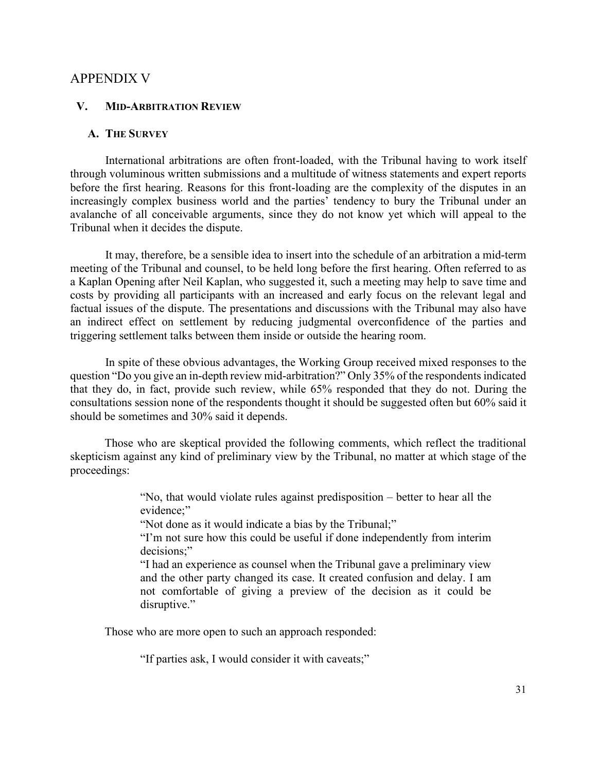### <span id="page-30-0"></span>APPENDIX V

#### <span id="page-30-1"></span>**V. MID-ARBITRATION REVIEW**

### <span id="page-30-2"></span>**A. THE SURVEY**

International arbitrations are often front-loaded, with the Tribunal having to work itself through voluminous written submissions and a multitude of witness statements and expert reports before the first hearing. Reasons for this front-loading are the complexity of the disputes in an increasingly complex business world and the parties' tendency to bury the Tribunal under an avalanche of all conceivable arguments, since they do not know yet which will appeal to the Tribunal when it decides the dispute.

It may, therefore, be a sensible idea to insert into the schedule of an arbitration a mid-term meeting of the Tribunal and counsel, to be held long before the first hearing. Often referred to as a Kaplan Opening after Neil Kaplan, who suggested it, such a meeting may help to save time and costs by providing all participants with an increased and early focus on the relevant legal and factual issues of the dispute. The presentations and discussions with the Tribunal may also have an indirect effect on settlement by reducing judgmental overconfidence of the parties and triggering settlement talks between them inside or outside the hearing room.

In spite of these obvious advantages, the Working Group received mixed responses to the question "Do you give an in-depth review mid-arbitration?" Only 35% of the respondents indicated that they do, in fact, provide such review, while 65% responded that they do not. During the consultations session none of the respondents thought it should be suggested often but 60% said it should be sometimes and 30% said it depends.

Those who are skeptical provided the following comments, which reflect the traditional skepticism against any kind of preliminary view by the Tribunal, no matter at which stage of the proceedings:

> "No, that would violate rules against predisposition – better to hear all the evidence:"

"Not done as it would indicate a bias by the Tribunal;"

"I'm not sure how this could be useful if done independently from interim decisions:"

"I had an experience as counsel when the Tribunal gave a preliminary view and the other party changed its case. It created confusion and delay. I am not comfortable of giving a preview of the decision as it could be disruptive."

Those who are more open to such an approach responded:

"If parties ask, I would consider it with caveats;"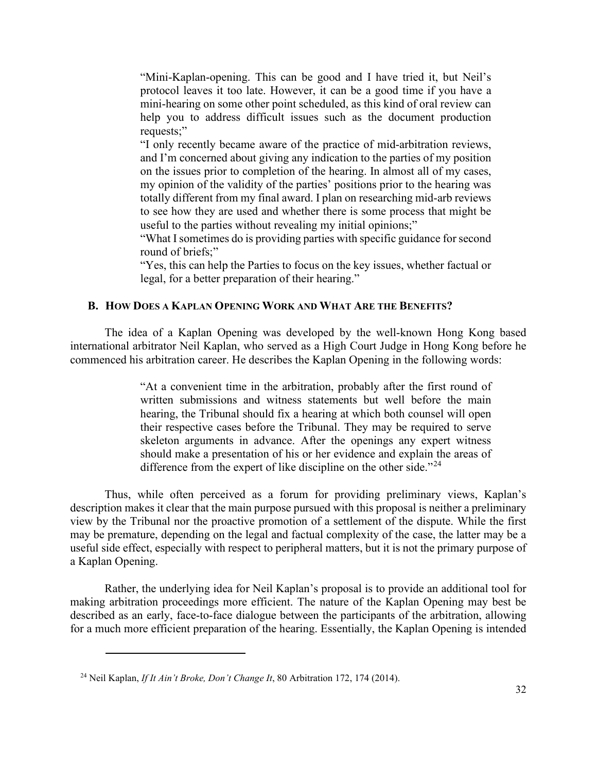"Mini-Kaplan-opening. This can be good and I have tried it, but Neil's protocol leaves it too late. However, it can be a good time if you have a mini-hearing on some other point scheduled, as this kind of oral review can help you to address difficult issues such as the document production requests;"

"I only recently became aware of the practice of mid-arbitration reviews, and I'm concerned about giving any indication to the parties of my position on the issues prior to completion of the hearing. In almost all of my cases, my opinion of the validity of the parties' positions prior to the hearing was totally different from my final award. I plan on researching mid-arb reviews to see how they are used and whether there is some process that might be useful to the parties without revealing my initial opinions;"

"What I sometimes do is providing parties with specific guidance for second round of briefs;"

"Yes, this can help the Parties to focus on the key issues, whether factual or legal, for a better preparation of their hearing."

## <span id="page-31-0"></span>**B. HOW DOES A KAPLAN OPENING WORK AND WHAT ARE THE BENEFITS?**

The idea of a Kaplan Opening was developed by the well-known Hong Kong based international arbitrator Neil Kaplan, who served as a High Court Judge in Hong Kong before he commenced his arbitration career. He describes the Kaplan Opening in the following words:

> "At a convenient time in the arbitration, probably after the first round of written submissions and witness statements but well before the main hearing, the Tribunal should fix a hearing at which both counsel will open their respective cases before the Tribunal. They may be required to serve skeleton arguments in advance. After the openings any expert witness should make a presentation of his or her evidence and explain the areas of difference from the expert of like discipline on the other side."<sup>[24](#page-31-1)</sup>

Thus, while often perceived as a forum for providing preliminary views, Kaplan's description makes it clear that the main purpose pursued with this proposal is neither a preliminary view by the Tribunal nor the proactive promotion of a settlement of the dispute. While the first may be premature, depending on the legal and factual complexity of the case, the latter may be a useful side effect, especially with respect to peripheral matters, but it is not the primary purpose of a Kaplan Opening.

Rather, the underlying idea for Neil Kaplan's proposal is to provide an additional tool for making arbitration proceedings more efficient. The nature of the Kaplan Opening may best be described as an early, face-to-face dialogue between the participants of the arbitration, allowing for a much more efficient preparation of the hearing. Essentially, the Kaplan Opening is intended

<span id="page-31-1"></span><sup>24</sup> Neil Kaplan, *If It Ain't Broke, Don't Change It*, 80 Arbitration 172, 174 (2014).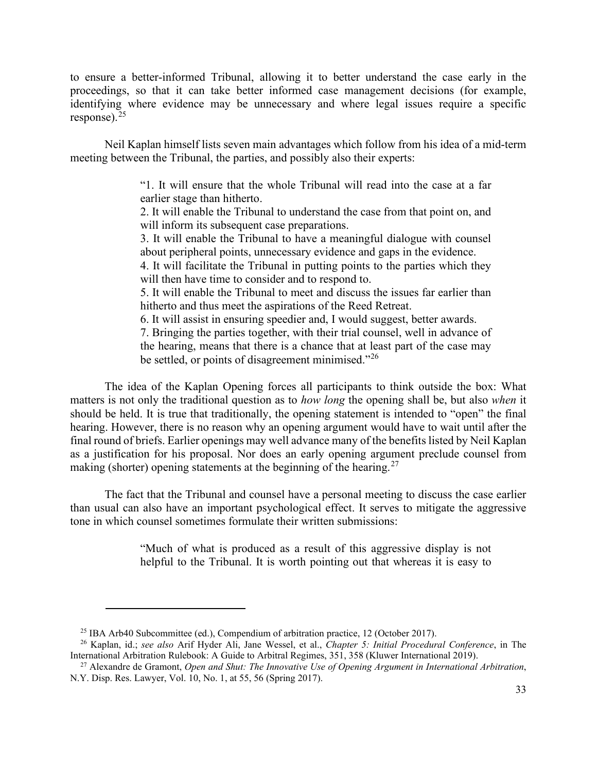to ensure a better-informed Tribunal, allowing it to better understand the case early in the proceedings, so that it can take better informed case management decisions (for example, identifying where evidence may be unnecessary and where legal issues require a specific response). $25$ 

Neil Kaplan himself lists seven main advantages which follow from his idea of a mid-term meeting between the Tribunal, the parties, and possibly also their experts:

> "1. It will ensure that the whole Tribunal will read into the case at a far earlier stage than hitherto.

> 2. It will enable the Tribunal to understand the case from that point on, and will inform its subsequent case preparations.

> 3. It will enable the Tribunal to have a meaningful dialogue with counsel about peripheral points, unnecessary evidence and gaps in the evidence.

> 4. It will facilitate the Tribunal in putting points to the parties which they will then have time to consider and to respond to.

> 5. It will enable the Tribunal to meet and discuss the issues far earlier than hitherto and thus meet the aspirations of the Reed Retreat.

6. It will assist in ensuring speedier and, I would suggest, better awards.

7. Bringing the parties together, with their trial counsel, well in advance of the hearing, means that there is a chance that at least part of the case may be settled, or points of disagreement minimised."<sup>[26](#page-32-1)</sup>

The idea of the Kaplan Opening forces all participants to think outside the box: What matters is not only the traditional question as to *how long* the opening shall be, but also *when* it should be held. It is true that traditionally, the opening statement is intended to "open" the final hearing. However, there is no reason why an opening argument would have to wait until after the final round of briefs. Earlier openings may well advance many of the benefits listed by Neil Kaplan as a justification for his proposal. Nor does an early opening argument preclude counsel from making (shorter) opening statements at the beginning of the hearing.<sup>[27](#page-32-2)</sup>

The fact that the Tribunal and counsel have a personal meeting to discuss the case earlier than usual can also have an important psychological effect. It serves to mitigate the aggressive tone in which counsel sometimes formulate their written submissions:

> "Much of what is produced as a result of this aggressive display is not helpful to the Tribunal. It is worth pointing out that whereas it is easy to

<sup>25</sup> IBA Arb40 Subcommittee (ed.), Compendium of arbitration practice, 12 (October 2017).

<span id="page-32-1"></span><span id="page-32-0"></span><sup>26</sup> Kaplan, id.; *see also* Arif Hyder Ali, Jane Wessel, et al., *Chapter 5: Initial Procedural Conference*, in The International Arbitration Rulebook: A Guide to Arbitral Regimes, 351, 358 (Kluwer International 2019).

<span id="page-32-2"></span><sup>27</sup> Alexandre de Gramont, *Open and Shut: The Innovative Use of Opening Argument in International Arbitration*, N.Y. Disp. Res. Lawyer, Vol. 10, No. 1, at 55, 56 (Spring 2017).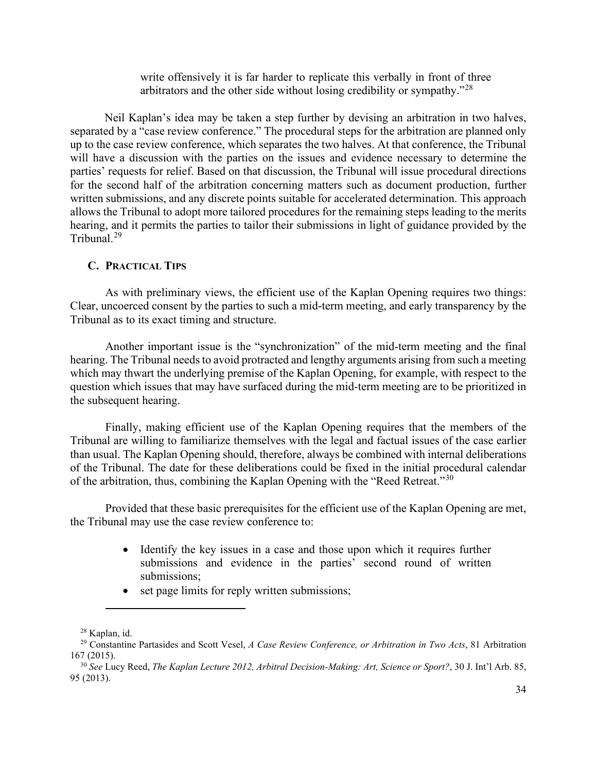write offensively it is far harder to replicate this verbally in front of three arbitrators and the other side without losing credibility or sympathy.<sup> $28$ </sup>

Neil Kaplan's idea may be taken a step further by devising an arbitration in two halves, separated by a "case review conference." The procedural steps for the arbitration are planned only up to the case review conference, which separates the two halves. At that conference, the Tribunal will have a discussion with the parties on the issues and evidence necessary to determine the parties' requests for relief. Based on that discussion, the Tribunal will issue procedural directions for the second half of the arbitration concerning matters such as document production, further written submissions, and any discrete points suitable for accelerated determination. This approach allows the Tribunal to adopt more tailored procedures for the remaining steps leading to the merits hearing, and it permits the parties to tailor their submissions in light of guidance provided by the Tribunal.[29](#page-33-2)

#### <span id="page-33-0"></span>**C. PRACTICAL TIPS**

As with preliminary views, the efficient use of the Kaplan Opening requires two things: Clear, uncoerced consent by the parties to such a mid-term meeting, and early transparency by the Tribunal as to its exact timing and structure.

Another important issue is the "synchronization" of the mid-term meeting and the final hearing. The Tribunal needs to avoid protracted and lengthy arguments arising from such a meeting which may thwart the underlying premise of the Kaplan Opening, for example, with respect to the question which issues that may have surfaced during the mid-term meeting are to be prioritized in the subsequent hearing.

Finally, making efficient use of the Kaplan Opening requires that the members of the Tribunal are willing to familiarize themselves with the legal and factual issues of the case earlier than usual. The Kaplan Opening should, therefore, always be combined with internal deliberations of the Tribunal. The date for these deliberations could be fixed in the initial procedural calendar of the arbitration, thus, combining the Kaplan Opening with the "Reed Retreat."[30](#page-33-3)

Provided that these basic prerequisites for the efficient use of the Kaplan Opening are met, the Tribunal may use the case review conference to:

- Identify the key issues in a case and those upon which it requires further submissions and evidence in the parties' second round of written submissions;
- set page limits for reply written submissions;

<sup>28</sup> Kaplan, id.

<span id="page-33-2"></span><span id="page-33-1"></span><sup>29</sup> Constantine Partasides and Scott Vesel, *A Case Review Conference, or Arbitration in Two Acts*, 81 Arbitration 167 (2015).

<span id="page-33-3"></span><sup>30</sup> *See* Lucy Reed, *The Kaplan Lecture 2012, Arbitral Decision-Making: Art, Science or Sport?*, 30 J. Int'l Arb. 85, 95 (2013).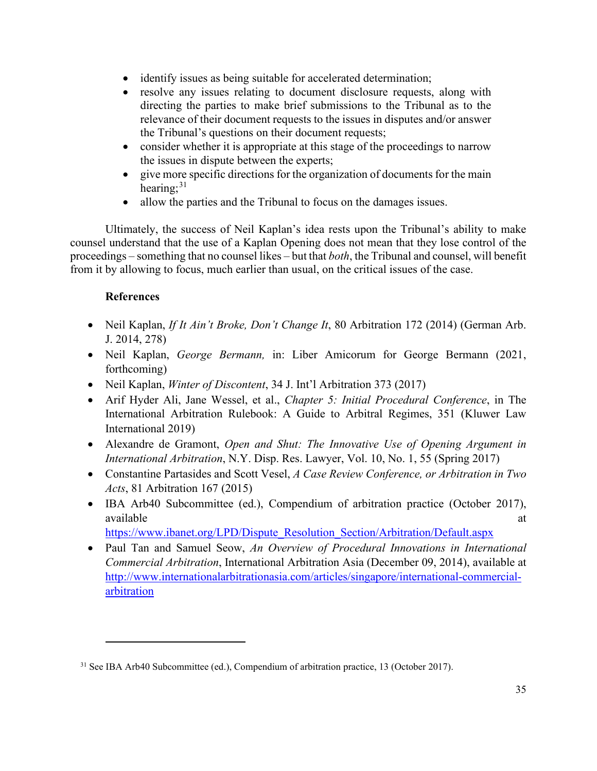- identify issues as being suitable for accelerated determination;
- resolve any issues relating to document disclosure requests, along with directing the parties to make brief submissions to the Tribunal as to the relevance of their document requests to the issues in disputes and/or answer the Tribunal's questions on their document requests;
- consider whether it is appropriate at this stage of the proceedings to narrow the issues in dispute between the experts;
- give more specific directions for the organization of documents for the main hearing;<sup>[31](#page-34-0)</sup>
- allow the parties and the Tribunal to focus on the damages issues.

Ultimately, the success of Neil Kaplan's idea rests upon the Tribunal's ability to make counsel understand that the use of a Kaplan Opening does not mean that they lose control of the proceedings – something that no counsel likes – but that *both*, the Tribunal and counsel, will benefit from it by allowing to focus, much earlier than usual, on the critical issues of the case.

## **References**

- Neil Kaplan, *If It Ain't Broke, Don't Change It*, 80 Arbitration 172 (2014) (German Arb. J. 2014, 278)
- Neil Kaplan, *George Bermann,* in: Liber Amicorum for George Bermann (2021, forthcoming)
- Neil Kaplan, *Winter of Discontent*, 34 J. Int'l Arbitration 373 (2017)
- Arif Hyder Ali, Jane Wessel, et al., *Chapter 5: Initial Procedural Conference*, in The International Arbitration Rulebook: A Guide to Arbitral Regimes, 351 (Kluwer Law International 2019)
- Alexandre de Gramont, *Open and Shut: The Innovative Use of Opening Argument in International Arbitration*, N.Y. Disp. Res. Lawyer, Vol. 10, No. 1, 55 (Spring 2017)
- Constantine Partasides and Scott Vesel, *A Case Review Conference, or Arbitration in Two Acts*, 81 Arbitration 167 (2015)
- IBA Arb40 Subcommittee (ed.), Compendium of arbitration practice (October 2017), available at a state of  $\alpha$  at a state of  $\alpha$  at a state of  $\alpha$  at a state of  $\alpha$  at a state of  $\alpha$  at a state of  $\alpha$  at a state of  $\alpha$  at a state of  $\alpha$  at a state of  $\alpha$  at a state of  $\alpha$  at a state of  $\alpha$  at

[https://www.ibanet.org/LPD/Dispute\\_Resolution\\_Section/Arbitration/Default.aspx](https://www.ibanet.org/LPD/Dispute_Resolution_Section/Arbitration/Default.aspx)

• Paul Tan and Samuel Seow, *An Overview of Procedural Innovations in International Commercial Arbitration*, International Arbitration Asia (December 09, 2014), available at [http://www.internationalarbitrationasia.com/articles/singapore/international-commercial](http://www.internationalarbitrationasia.com/articles/singapore/international-commercial-arbitration)[arbitration](http://www.internationalarbitrationasia.com/articles/singapore/international-commercial-arbitration)

<span id="page-34-0"></span><sup>&</sup>lt;sup>31</sup> See IBA Arb40 Subcommittee (ed.), Compendium of arbitration practice, 13 (October 2017).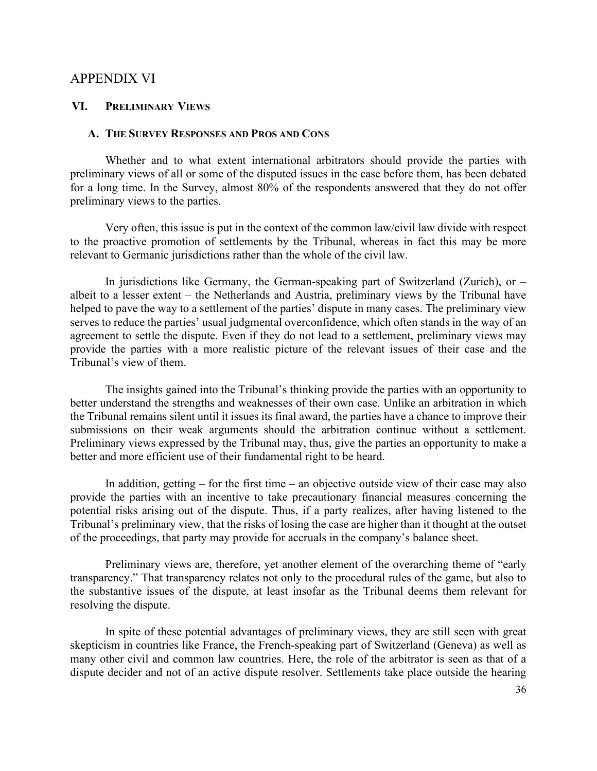### <span id="page-35-0"></span>APPENDIX VI

#### <span id="page-35-1"></span>**VI. PRELIMINARY VIEWS**

#### <span id="page-35-2"></span>**A. THE SURVEY RESPONSES AND PROS AND CONS**

Whether and to what extent international arbitrators should provide the parties with preliminary views of all or some of the disputed issues in the case before them, has been debated for a long time. In the Survey, almost 80% of the respondents answered that they do not offer preliminary views to the parties.

Very often, this issue is put in the context of the common law/civil law divide with respect to the proactive promotion of settlements by the Tribunal, whereas in fact this may be more relevant to Germanic jurisdictions rather than the whole of the civil law.

In jurisdictions like Germany, the German-speaking part of Switzerland (Zurich), or  $$ albeit to a lesser extent – the Netherlands and Austria, preliminary views by the Tribunal have helped to pave the way to a settlement of the parties' dispute in many cases. The preliminary view serves to reduce the parties' usual judgmental overconfidence, which often stands in the way of an agreement to settle the dispute. Even if they do not lead to a settlement, preliminary views may provide the parties with a more realistic picture of the relevant issues of their case and the Tribunal's view of them.

The insights gained into the Tribunal's thinking provide the parties with an opportunity to better understand the strengths and weaknesses of their own case. Unlike an arbitration in which the Tribunal remains silent until it issues its final award, the parties have a chance to improve their submissions on their weak arguments should the arbitration continue without a settlement. Preliminary views expressed by the Tribunal may, thus, give the parties an opportunity to make a better and more efficient use of their fundamental right to be heard.

In addition, getting  $-$  for the first time  $-$  an objective outside view of their case may also provide the parties with an incentive to take precautionary financial measures concerning the potential risks arising out of the dispute. Thus, if a party realizes, after having listened to the Tribunal's preliminary view, that the risks of losing the case are higher than it thought at the outset of the proceedings, that party may provide for accruals in the company's balance sheet.

Preliminary views are, therefore, yet another element of the overarching theme of "early transparency." That transparency relates not only to the procedural rules of the game, but also to the substantive issues of the dispute, at least insofar as the Tribunal deems them relevant for resolving the dispute.

In spite of these potential advantages of preliminary views, they are still seen with great skepticism in countries like France, the French-speaking part of Switzerland (Geneva) as well as many other civil and common law countries. Here, the role of the arbitrator is seen as that of a dispute decider and not of an active dispute resolver. Settlements take place outside the hearing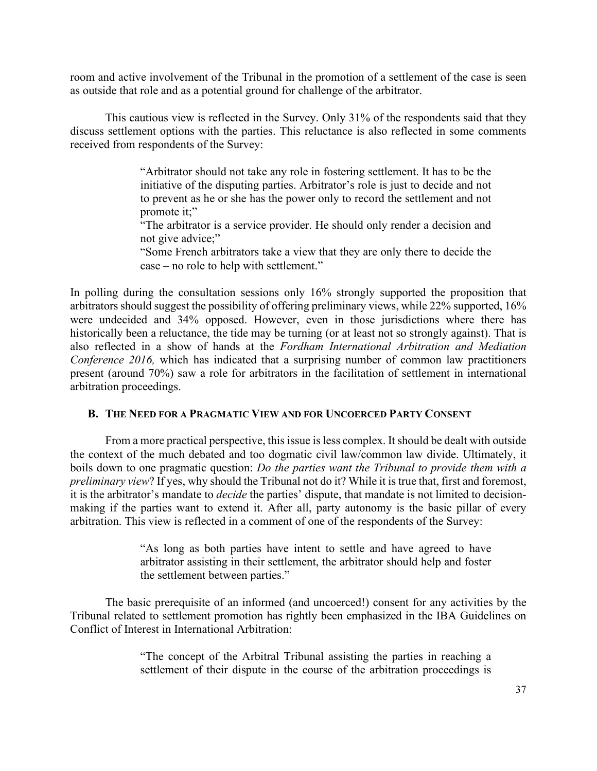room and active involvement of the Tribunal in the promotion of a settlement of the case is seen as outside that role and as a potential ground for challenge of the arbitrator.

This cautious view is reflected in the Survey. Only 31% of the respondents said that they discuss settlement options with the parties. This reluctance is also reflected in some comments received from respondents of the Survey:

> "Arbitrator should not take any role in fostering settlement. It has to be the initiative of the disputing parties. Arbitrator's role is just to decide and not to prevent as he or she has the power only to record the settlement and not promote it;"

> "The arbitrator is a service provider. He should only render a decision and not give advice;"

> "Some French arbitrators take a view that they are only there to decide the case – no role to help with settlement."

In polling during the consultation sessions only 16% strongly supported the proposition that arbitrators should suggest the possibility of offering preliminary views, while 22% supported, 16% were undecided and 34% opposed. However, even in those jurisdictions where there has historically been a reluctance, the tide may be turning (or at least not so strongly against). That is also reflected in a show of hands at the *Fordham International Arbitration and Mediation Conference 2016*, which has indicated that a surprising number of common law practitioners present (around 70%) saw a role for arbitrators in the facilitation of settlement in international arbitration proceedings.

#### <span id="page-36-0"></span>**B. THE NEED FOR A PRAGMATIC VIEW AND FOR UNCOERCED PARTY CONSENT**

From a more practical perspective, this issue is less complex. It should be dealt with outside the context of the much debated and too dogmatic civil law/common law divide. Ultimately, it boils down to one pragmatic question: *Do the parties want the Tribunal to provide them with a preliminary view*? If yes, why should the Tribunal not do it? While it is true that, first and foremost, it is the arbitrator's mandate to *decide* the parties' dispute, that mandate is not limited to decisionmaking if the parties want to extend it. After all, party autonomy is the basic pillar of every arbitration. This view is reflected in a comment of one of the respondents of the Survey:

> "As long as both parties have intent to settle and have agreed to have arbitrator assisting in their settlement, the arbitrator should help and foster the settlement between parties."

The basic prerequisite of an informed (and uncoerced!) consent for any activities by the Tribunal related to settlement promotion has rightly been emphasized in the IBA Guidelines on Conflict of Interest in International Arbitration:

> "The concept of the Arbitral Tribunal assisting the parties in reaching a settlement of their dispute in the course of the arbitration proceedings is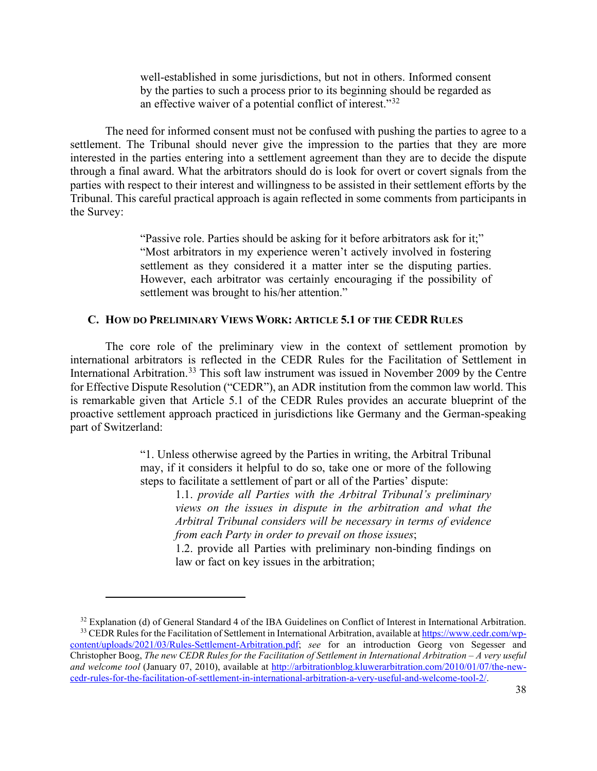well-established in some jurisdictions, but not in others. Informed consent by the parties to such a process prior to its beginning should be regarded as an effective waiver of a potential conflict of interest."[32](#page-37-1)

The need for informed consent must not be confused with pushing the parties to agree to a settlement. The Tribunal should never give the impression to the parties that they are more interested in the parties entering into a settlement agreement than they are to decide the dispute through a final award. What the arbitrators should do is look for overt or covert signals from the parties with respect to their interest and willingness to be assisted in their settlement efforts by the Tribunal. This careful practical approach is again reflected in some comments from participants in the Survey:

> "Passive role. Parties should be asking for it before arbitrators ask for it;" "Most arbitrators in my experience weren't actively involved in fostering settlement as they considered it a matter inter se the disputing parties. However, each arbitrator was certainly encouraging if the possibility of settlement was brought to his/her attention."

#### <span id="page-37-0"></span>**C. HOW DO PRELIMINARY VIEWS WORK: ARTICLE 5.1 OF THE CEDR RULES**

The core role of the preliminary view in the context of settlement promotion by international arbitrators is reflected in the CEDR Rules for the Facilitation of Settlement in International Arbitration.<sup>[33](#page-37-2)</sup> This soft law instrument was issued in November 2009 by the Centre for Effective Dispute Resolution ("CEDR"), an ADR institution from the common law world. This is remarkable given that Article 5.1 of the CEDR Rules provides an accurate blueprint of the proactive settlement approach practiced in jurisdictions like Germany and the German-speaking part of Switzerland:

> "1. Unless otherwise agreed by the Parties in writing, the Arbitral Tribunal may, if it considers it helpful to do so, take one or more of the following steps to facilitate a settlement of part or all of the Parties' dispute:

1.1. *provide all Parties with the Arbitral Tribunal's preliminary views on the issues in dispute in the arbitration and what the Arbitral Tribunal considers will be necessary in terms of evidence from each Party in order to prevail on those issues*;

1.2. provide all Parties with preliminary non-binding findings on law or fact on key issues in the arbitration;

<span id="page-37-2"></span><span id="page-37-1"></span> $32$  Explanation (d) of General Standard 4 of the IBA Guidelines on Conflict of Interest in International Arbitration. <sup>33</sup> CEDR Rules for the Facilitation of Settlement in International Arbitration, available at [https://www.cedr.com/wp](https://www.cedr.com/wp-content/uploads/2021/03/Rules-Settlement-Arbitration.pdf)[content/uploads/2021/03/Rules-Settlement-Arbitration.pdf;](https://www.cedr.com/wp-content/uploads/2021/03/Rules-Settlement-Arbitration.pdf) *see* for an introduction Georg von Segesser and Christopher Boog, *The new CEDR Rules for the Facilitation of Settlement in International Arbitration – A very useful and welcome tool* (January 07, 2010), available at [http://arbitrationblog.kluwerarbitration.com/2010/01/07/the-new](http://arbitrationblog.kluwerarbitration.com/2010/01/07/the-new-cedr-rules-for-the-facilitation-of-settlement-in-international-arbitration-a-very-useful-and-welcome-tool-2/)[cedr-rules-for-the-facilitation-of-settlement-in-international-arbitration-a-very-useful-and-welcome-tool-2/.](http://arbitrationblog.kluwerarbitration.com/2010/01/07/the-new-cedr-rules-for-the-facilitation-of-settlement-in-international-arbitration-a-very-useful-and-welcome-tool-2/)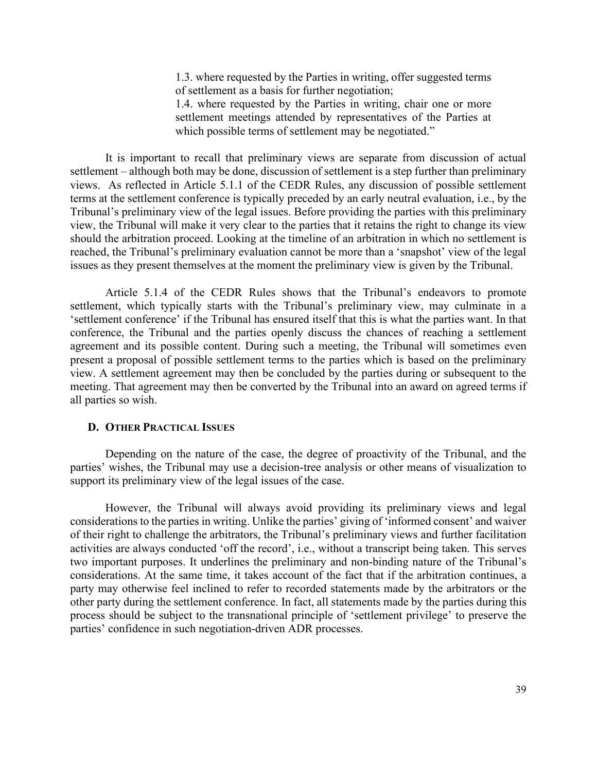1.3. where requested by the Parties in writing, offer suggested terms of settlement as a basis for further negotiation;

1.4. where requested by the Parties in writing, chair one or more settlement meetings attended by representatives of the Parties at which possible terms of settlement may be negotiated."

It is important to recall that preliminary views are separate from discussion of actual settlement – although both may be done, discussion of settlement is a step further than preliminary views. As reflected in Article 5.1.1 of the CEDR Rules, any discussion of possible settlement terms at the settlement conference is typically preceded by an early neutral evaluation, i.e., by the Tribunal's preliminary view of the legal issues. Before providing the parties with this preliminary view, the Tribunal will make it very clear to the parties that it retains the right to change its view should the arbitration proceed. Looking at the timeline of an arbitration in which no settlement is reached, the Tribunal's preliminary evaluation cannot be more than a 'snapshot' view of the legal issues as they present themselves at the moment the preliminary view is given by the Tribunal.

Article 5.1.4 of the CEDR Rules shows that the Tribunal's endeavors to promote settlement, which typically starts with the Tribunal's preliminary view, may culminate in a 'settlement conference' if the Tribunal has ensured itself that this is what the parties want. In that conference, the Tribunal and the parties openly discuss the chances of reaching a settlement agreement and its possible content. During such a meeting, the Tribunal will sometimes even present a proposal of possible settlement terms to the parties which is based on the preliminary view. A settlement agreement may then be concluded by the parties during or subsequent to the meeting. That agreement may then be converted by the Tribunal into an award on agreed terms if all parties so wish.

#### <span id="page-38-0"></span>**D. OTHER PRACTICAL ISSUES**

Depending on the nature of the case, the degree of proactivity of the Tribunal, and the parties' wishes, the Tribunal may use a decision-tree analysis or other means of visualization to support its preliminary view of the legal issues of the case.

However, the Tribunal will always avoid providing its preliminary views and legal considerations to the parties in writing. Unlike the parties' giving of 'informed consent' and waiver of their right to challenge the arbitrators, the Tribunal's preliminary views and further facilitation activities are always conducted 'off the record', i.e., without a transcript being taken. This serves two important purposes. It underlines the preliminary and non-binding nature of the Tribunal's considerations. At the same time, it takes account of the fact that if the arbitration continues, a party may otherwise feel inclined to refer to recorded statements made by the arbitrators or the other party during the settlement conference. In fact, all statements made by the parties during this process should be subject to the transnational principle of 'settlement privilege' to preserve the parties' confidence in such negotiation-driven ADR processes.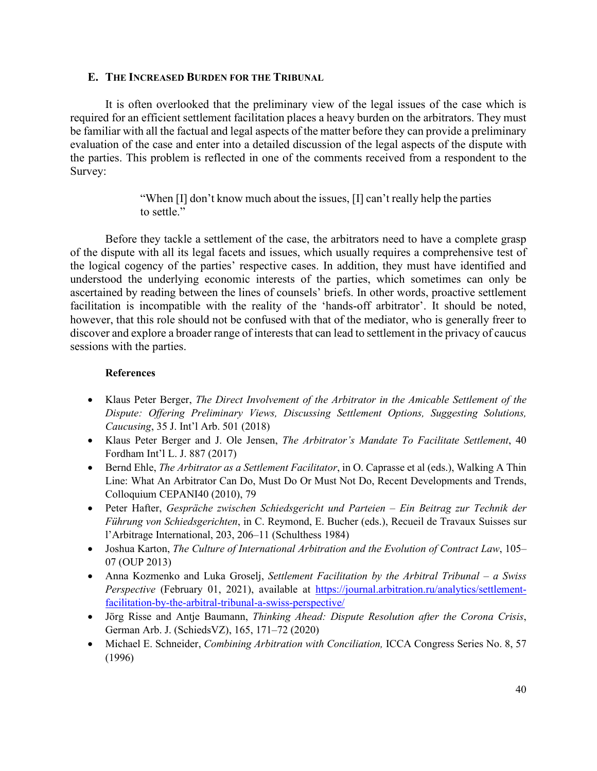## <span id="page-39-0"></span>**E. THE INCREASED BURDEN FOR THE TRIBUNAL**

It is often overlooked that the preliminary view of the legal issues of the case which is required for an efficient settlement facilitation places a heavy burden on the arbitrators. They must be familiar with all the factual and legal aspects of the matter before they can provide a preliminary evaluation of the case and enter into a detailed discussion of the legal aspects of the dispute with the parties. This problem is reflected in one of the comments received from a respondent to the Survey:

> "When [I] don't know much about the issues, [I] can't really help the parties to settle."

Before they tackle a settlement of the case, the arbitrators need to have a complete grasp of the dispute with all its legal facets and issues, which usually requires a comprehensive test of the logical cogency of the parties' respective cases. In addition, they must have identified and understood the underlying economic interests of the parties, which sometimes can only be ascertained by reading between the lines of counsels' briefs. In other words, proactive settlement facilitation is incompatible with the reality of the 'hands-off arbitrator'. It should be noted, however, that this role should not be confused with that of the mediator, who is generally freer to discover and explore a broader range of interests that can lead to settlement in the privacy of caucus sessions with the parties.

#### **References**

- Klaus Peter Berger, *The Direct Involvement of the Arbitrator in the Amicable Settlement of the Dispute: Offering Preliminary Views, Discussing Settlement Options, Suggesting Solutions, Caucusing*, 35 J. Int'l Arb. 501 (2018)
- Klaus Peter Berger and J. Ole Jensen, *The Arbitrator's Mandate To Facilitate Settlement*, 40 Fordham Int'l L. J. 887 (2017)
- Bernd Ehle, *The Arbitrator as a Settlement Facilitator*, in O. Caprasse et al (eds.), Walking A Thin Line: What An Arbitrator Can Do, Must Do Or Must Not Do, Recent Developments and Trends, Colloquium CEPANI40 (2010), 79
- Peter Hafter, *Gespräche zwischen Schiedsgericht und Parteien – Ein Beitrag zur Technik der Führung von Schiedsgerichten*, in C. Reymond, E. Bucher (eds.), Recueil de Travaux Suisses sur l'Arbitrage International, 203, 206–11 (Schulthess 1984)
- Joshua Karton, *The Culture of International Arbitration and the Evolution of Contract Law*, 105– 07 (OUP 2013)
- Anna Kozmenko and Luka Groselj, *Settlement Facilitation by the Arbitral Tribunal – a Swiss Perspective* (February 01, 2021), available at [https://journal.arbitration.ru/analytics/settlement](https://journal.arbitration.ru/analytics/settlement-facilitation-by-the-arbitral-tribunal-a-swiss-perspective/)[facilitation-by-the-arbitral-tribunal-a-swiss-perspective/](https://journal.arbitration.ru/analytics/settlement-facilitation-by-the-arbitral-tribunal-a-swiss-perspective/)
- Jörg Risse and Antje Baumann, *Thinking Ahead: Dispute Resolution after the Corona Crisis*, German Arb. J. (SchiedsVZ), 165, 171–72 (2020)
- Michael E. Schneider, *Combining Arbitration with Conciliation,* ICCA Congress Series No. 8, 57 (1996)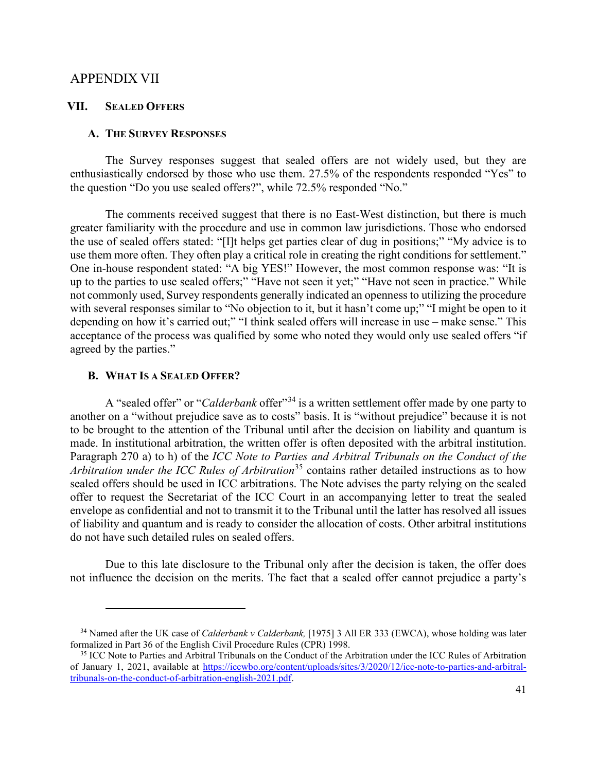#### <span id="page-40-0"></span>APPENDIX VII

#### <span id="page-40-1"></span>**VII. SEALED OFFERS**

#### <span id="page-40-2"></span>**A. THE SURVEY RESPONSES**

The Survey responses suggest that sealed offers are not widely used, but they are enthusiastically endorsed by those who use them. 27.5% of the respondents responded "Yes" to the question "Do you use sealed offers?", while 72.5% responded "No."

The comments received suggest that there is no East-West distinction, but there is much greater familiarity with the procedure and use in common law jurisdictions. Those who endorsed the use of sealed offers stated: "[I]t helps get parties clear of dug in positions;" "My advice is to use them more often. They often play a critical role in creating the right conditions for settlement." One in-house respondent stated: "A big YES!" However, the most common response was: "It is up to the parties to use sealed offers;" "Have not seen it yet;" "Have not seen in practice." While not commonly used, Survey respondents generally indicated an openness to utilizing the procedure with several responses similar to "No objection to it, but it hasn't come up;" "I might be open to it depending on how it's carried out;" "I think sealed offers will increase in use – make sense." This acceptance of the process was qualified by some who noted they would only use sealed offers "if agreed by the parties."

#### <span id="page-40-3"></span>**B. WHAT IS A SEALED OFFER?**

A "sealed offer" or "*Calderbank* offer"[34](#page-40-4) is a written settlement offer made by one party to another on a "without prejudice save as to costs" basis. It is "without prejudice" because it is not to be brought to the attention of the Tribunal until after the decision on liability and quantum is made. In institutional arbitration, the written offer is often deposited with the arbitral institution. Paragraph 270 a) to h) of the *ICC Note to Parties and Arbitral Tribunals on the Conduct of the Arbitration under the ICC Rules of Arbitration*<sup>[35](#page-40-5)</sup> contains rather detailed instructions as to how sealed offers should be used in ICC arbitrations. The Note advises the party relying on the sealed offer to request the Secretariat of the ICC Court in an accompanying letter to treat the sealed envelope as confidential and not to transmit it to the Tribunal until the latter has resolved all issues of liability and quantum and is ready to consider the allocation of costs. Other arbitral institutions do not have such detailed rules on sealed offers.

Due to this late disclosure to the Tribunal only after the decision is taken, the offer does not influence the decision on the merits. The fact that a sealed offer cannot prejudice a party's

<span id="page-40-4"></span><sup>34</sup> Named after the UK case of *Calderbank v Calderbank,* [1975] 3 All ER 333 (EWCA), whose holding was later formalized in Part 36 of the English Civil Procedure Rules (CPR) 1998.

<span id="page-40-5"></span><sup>&</sup>lt;sup>35</sup> ICC Note to Parties and Arbitral Tribunals on the Conduct of the Arbitration under the ICC Rules of Arbitration of January 1, 2021, available at [https://iccwbo.org/content/uploads/sites/3/2020/12/icc-note-to-parties-and-arbitral](https://iccwbo.org/content/uploads/sites/3/2020/12/icc-note-to-parties-and-arbitral-tribunals-on-the-conduct-of-arbitration-english-2021.pdf)[tribunals-on-the-conduct-of-arbitration-english-2021.pdf.](https://iccwbo.org/content/uploads/sites/3/2020/12/icc-note-to-parties-and-arbitral-tribunals-on-the-conduct-of-arbitration-english-2021.pdf)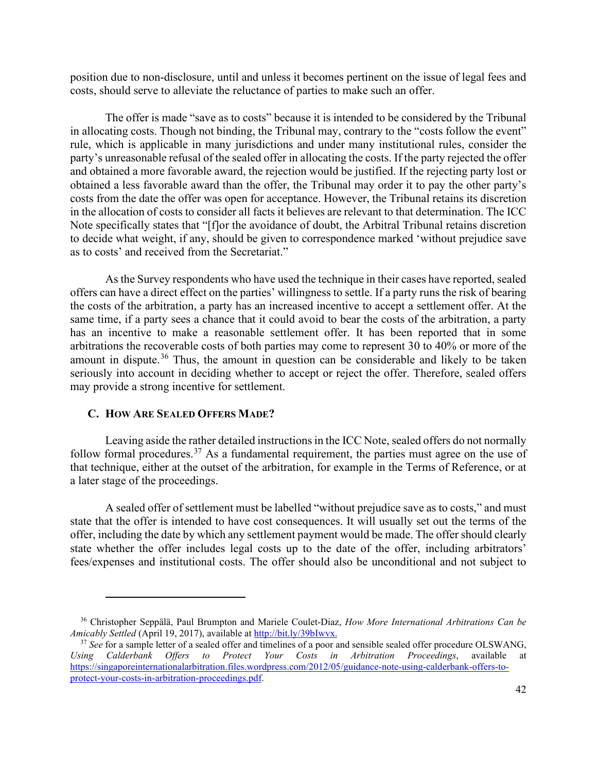position due to non-disclosure, until and unless it becomes pertinent on the issue of legal fees and costs, should serve to alleviate the reluctance of parties to make such an offer.

The offer is made "save as to costs" because it is intended to be considered by the Tribunal in allocating costs. Though not binding, the Tribunal may, contrary to the "costs follow the event" rule, which is applicable in many jurisdictions and under many institutional rules, consider the party's unreasonable refusal of the sealed offer in allocating the costs. If the party rejected the offer and obtained a more favorable award, the rejection would be justified. If the rejecting party lost or obtained a less favorable award than the offer, the Tribunal may order it to pay the other party's costs from the date the offer was open for acceptance. However, the Tribunal retains its discretion in the allocation of costs to consider all facts it believes are relevant to that determination. The ICC Note specifically states that "[f]or the avoidance of doubt, the Arbitral Tribunal retains discretion to decide what weight, if any, should be given to correspondence marked 'without prejudice save as to costs' and received from the Secretariat."

As the Survey respondents who have used the technique in their cases have reported, sealed offers can have a direct effect on the parties' willingness to settle. If a party runs the risk of bearing the costs of the arbitration, a party has an increased incentive to accept a settlement offer. At the same time, if a party sees a chance that it could avoid to bear the costs of the arbitration, a party has an incentive to make a reasonable settlement offer. It has been reported that in some arbitrations the recoverable costs of both parties may come to represent 30 to 40% or more of the amount in dispute.<sup>[36](#page-41-1)</sup> Thus, the amount in question can be considerable and likely to be taken seriously into account in deciding whether to accept or reject the offer. Therefore, sealed offers may provide a strong incentive for settlement.

#### <span id="page-41-0"></span>**C. HOW ARE SEALED OFFERS MADE?**

Leaving aside the rather detailed instructions in the ICC Note, sealed offers do not normally follow formal procedures.<sup>[37](#page-41-2)</sup> As a fundamental requirement, the parties must agree on the use of that technique, either at the outset of the arbitration, for example in the Terms of Reference, or at a later stage of the proceedings.

A sealed offer of settlement must be labelled "without prejudice save as to costs," and must state that the offer is intended to have cost consequences. It will usually set out the terms of the offer, including the date by which any settlement payment would be made. The offer should clearly state whether the offer includes legal costs up to the date of the offer, including arbitrators' fees/expenses and institutional costs. The offer should also be unconditional and not subject to

<span id="page-41-1"></span><sup>36</sup> Christopher Seppälä, Paul Brumpton and Mariele Coulet-Diaz, *How More International Arbitrations Can be Amicably Settled* (April 19, 2017), available at [http://bit.ly/39bIwvx.](http://bit.ly/39bIwvx)

<span id="page-41-2"></span><sup>37</sup> *See* for a sample letter of a sealed offer and timelines of a poor and sensible sealed offer procedure OLSWANG, *Using Calderbank Offers to Protect Your Costs in Arbitration Proceedings*, available at [https://singaporeinternationalarbitration.files.wordpress.com/2012/05/guidance-note-using-calderbank-offers-to](https://singaporeinternationalarbitration.files.wordpress.com/2012/05/guidance-note-using-calderbank-offers-to-protect-your-costs-in-arbitration-proceedings.pdf)[protect-your-costs-in-arbitration-proceedings.pdf.](https://singaporeinternationalarbitration.files.wordpress.com/2012/05/guidance-note-using-calderbank-offers-to-protect-your-costs-in-arbitration-proceedings.pdf)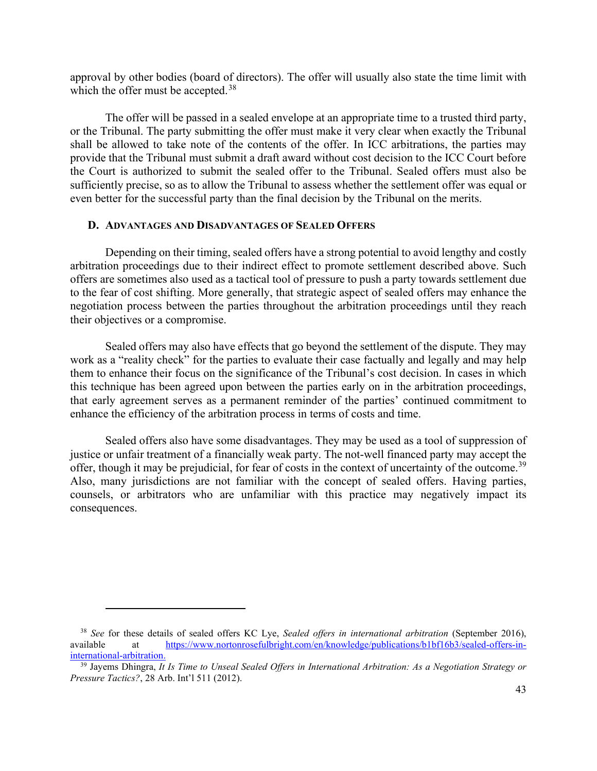approval by other bodies (board of directors). The offer will usually also state the time limit with which the offer must be accepted.<sup>[38](#page-42-1)</sup>

The offer will be passed in a sealed envelope at an appropriate time to a trusted third party, or the Tribunal. The party submitting the offer must make it very clear when exactly the Tribunal shall be allowed to take note of the contents of the offer. In ICC arbitrations, the parties may provide that the Tribunal must submit a draft award without cost decision to the ICC Court before the Court is authorized to submit the sealed offer to the Tribunal. Sealed offers must also be sufficiently precise, so as to allow the Tribunal to assess whether the settlement offer was equal or even better for the successful party than the final decision by the Tribunal on the merits.

## <span id="page-42-0"></span>**D. ADVANTAGES AND DISADVANTAGES OF SEALED OFFERS**

Depending on their timing, sealed offers have a strong potential to avoid lengthy and costly arbitration proceedings due to their indirect effect to promote settlement described above. Such offers are sometimes also used as a tactical tool of pressure to push a party towards settlement due to the fear of cost shifting. More generally, that strategic aspect of sealed offers may enhance the negotiation process between the parties throughout the arbitration proceedings until they reach their objectives or a compromise.

Sealed offers may also have effects that go beyond the settlement of the dispute. They may work as a "reality check" for the parties to evaluate their case factually and legally and may help them to enhance their focus on the significance of the Tribunal's cost decision. In cases in which this technique has been agreed upon between the parties early on in the arbitration proceedings, that early agreement serves as a permanent reminder of the parties' continued commitment to enhance the efficiency of the arbitration process in terms of costs and time.

Sealed offers also have some disadvantages. They may be used as a tool of suppression of justice or unfair treatment of a financially weak party. The not-well financed party may accept the offer, though it may be prejudicial, for fear of costs in the context of uncertainty of the outcome.<sup>[39](#page-42-2)</sup> Also, many jurisdictions are not familiar with the concept of sealed offers. Having parties, counsels, or arbitrators who are unfamiliar with this practice may negatively impact its consequences.

<span id="page-42-1"></span><sup>38</sup> *See* for these details of sealed offers KC Lye, *Sealed offers in international arbitration* (September 2016), available at [https://www.nortonrosefulbright.com/en/knowledge/publications/b1bf16b3/sealed-offers-in](https://www.nortonrosefulbright.com/en/knowledge/publications/b1bf16b3/sealed-offers-in-international-arbitration)[international-arbitration.](https://www.nortonrosefulbright.com/en/knowledge/publications/b1bf16b3/sealed-offers-in-international-arbitration)

<span id="page-42-2"></span><sup>39</sup> Jayems Dhingra, *It Is Time to Unseal Sealed Offers in International Arbitration: As a Negotiation Strategy or Pressure Tactics?*, 28 Arb. Int'l 511 (2012).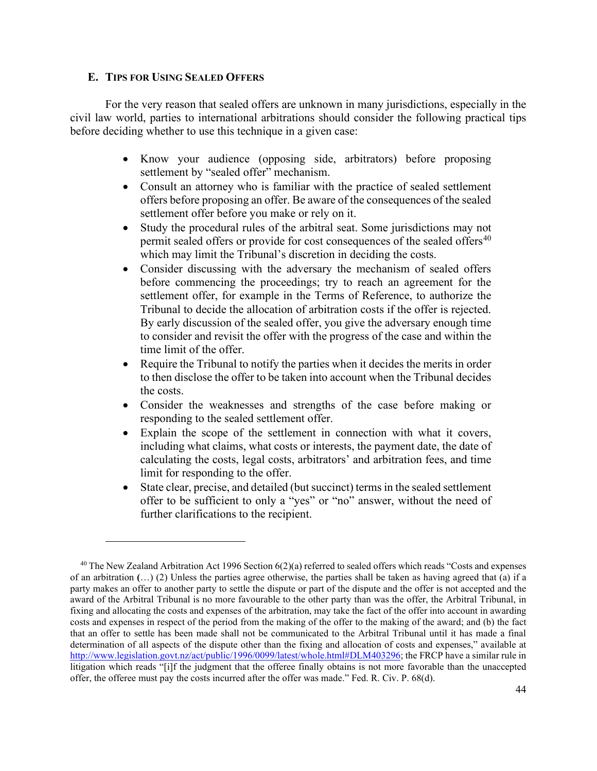### <span id="page-43-0"></span>**E. TIPS FOR USING SEALED OFFERS**

For the very reason that sealed offers are unknown in many jurisdictions, especially in the civil law world, parties to international arbitrations should consider the following practical tips before deciding whether to use this technique in a given case:

- Know your audience (opposing side, arbitrators) before proposing settlement by "sealed offer" mechanism.
- Consult an attorney who is familiar with the practice of sealed settlement offers before proposing an offer. Be aware of the consequences of the sealed settlement offer before you make or rely on it.
- Study the procedural rules of the arbitral seat. Some jurisdictions may not permit sealed offers or provide for cost consequences of the sealed offers<sup>[40](#page-43-1)</sup> which may limit the Tribunal's discretion in deciding the costs.
- Consider discussing with the adversary the mechanism of sealed offers before commencing the proceedings; try to reach an agreement for the settlement offer, for example in the Terms of Reference, to authorize the Tribunal to decide the allocation of arbitration costs if the offer is rejected. By early discussion of the sealed offer, you give the adversary enough time to consider and revisit the offer with the progress of the case and within the time limit of the offer.
- Require the Tribunal to notify the parties when it decides the merits in order to then disclose the offer to be taken into account when the Tribunal decides the costs.
- Consider the weaknesses and strengths of the case before making or responding to the sealed settlement offer.
- Explain the scope of the settlement in connection with what it covers, including what claims, what costs or interests, the payment date, the date of calculating the costs, legal costs, arbitrators' and arbitration fees, and time limit for responding to the offer.
- State clear, precise, and detailed (but succinct) terms in the sealed settlement offer to be sufficient to only a "yes" or "no" answer, without the need of further clarifications to the recipient.

<span id="page-43-1"></span> $40$  The New Zealand Arbitration Act 1996 Section  $6(2)(a)$  referred to sealed offers which reads "Costs and expenses" of an arbitration **(**…) (2) Unless the parties agree otherwise, the parties shall be taken as having agreed that (a) if a party makes an offer to another party to settle the dispute or part of the dispute and the offer is not accepted and the award of the Arbitral Tribunal is no more favourable to the other party than was the offer, the Arbitral Tribunal, in fixing and allocating the costs and expenses of the arbitration, may take the fact of the offer into account in awarding costs and expenses in respect of the period from the making of the offer to the making of the award; and (b) the fact that an offer to settle has been made shall not be communicated to the Arbitral Tribunal until it has made a final determination of all aspects of the dispute other than the fixing and allocation of costs and expenses," available at [http://www.legislation.govt.nz/act/public/1996/0099/latest/whole.html#DLM403296;](http://www.legislation.govt.nz/act/public/1996/0099/latest/whole.html#DLM403296) the FRCP have a similar rule in litigation which reads "[i]f the judgment that the offeree finally obtains is not more favorable than the unaccepted offer, the offeree must pay the costs incurred after the offer was made." Fed. R. Civ. P. 68(d).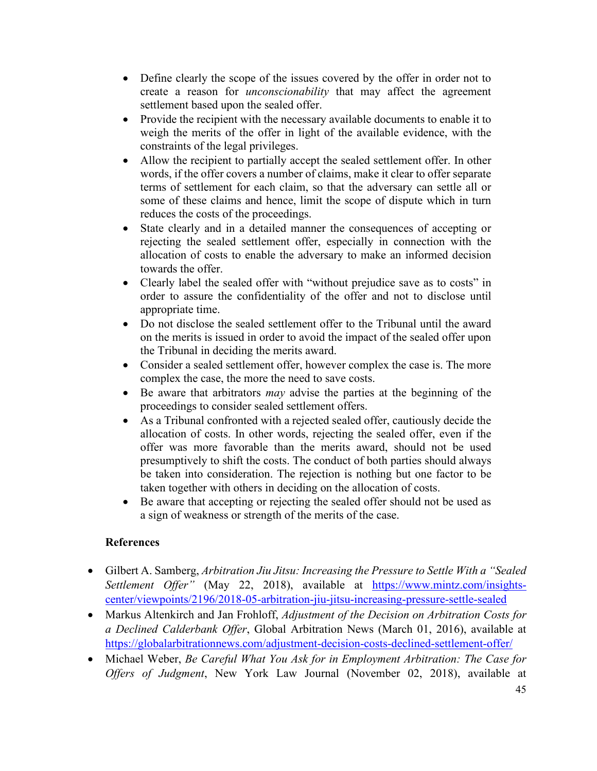- Define clearly the scope of the issues covered by the offer in order not to create a reason for *unconscionability* that may affect the agreement settlement based upon the sealed offer.
- Provide the recipient with the necessary available documents to enable it to weigh the merits of the offer in light of the available evidence, with the constraints of the legal privileges.
- Allow the recipient to partially accept the sealed settlement offer. In other words, if the offer covers a number of claims, make it clear to offer separate terms of settlement for each claim, so that the adversary can settle all or some of these claims and hence, limit the scope of dispute which in turn reduces the costs of the proceedings.
- State clearly and in a detailed manner the consequences of accepting or rejecting the sealed settlement offer, especially in connection with the allocation of costs to enable the adversary to make an informed decision towards the offer.
- Clearly label the sealed offer with "without prejudice save as to costs" in order to assure the confidentiality of the offer and not to disclose until appropriate time.
- Do not disclose the sealed settlement offer to the Tribunal until the award on the merits is issued in order to avoid the impact of the sealed offer upon the Tribunal in deciding the merits award.
- Consider a sealed settlement offer, however complex the case is. The more complex the case, the more the need to save costs.
- Be aware that arbitrators *may* advise the parties at the beginning of the proceedings to consider sealed settlement offers.
- As a Tribunal confronted with a rejected sealed offer, cautiously decide the allocation of costs. In other words, rejecting the sealed offer, even if the offer was more favorable than the merits award, should not be used presumptively to shift the costs. The conduct of both parties should always be taken into consideration. The rejection is nothing but one factor to be taken together with others in deciding on the allocation of costs.
- Be aware that accepting or rejecting the sealed offer should not be used as a sign of weakness or strength of the merits of the case.

## **References**

- Gilbert A. Samberg, *Arbitration Jiu Jitsu: Increasing the Pressure to Settle With a "Sealed Settlement Offer"* (May 22, 2018), available at [https://www.mintz.com/insights](https://www.mintz.com/insights-center/viewpoints/2196/2018-05-arbitration-jiu-jitsu-increasing-pressure-settle-sealed)[center/viewpoints/2196/2018-05-arbitration-jiu-jitsu-increasing-pressure-settle-sealed](https://www.mintz.com/insights-center/viewpoints/2196/2018-05-arbitration-jiu-jitsu-increasing-pressure-settle-sealed)
- Markus Altenkirch and Jan Frohloff, *Adjustment of the Decision on Arbitration Costs for a Declined Calderbank Offer*, Global Arbitration News (March 01, 2016), available at <https://globalarbitrationnews.com/adjustment-decision-costs-declined-settlement-offer/>
- Michael Weber, *Be Careful What You Ask for in Employment Arbitration: The Case for Offers of Judgment*, New York Law Journal (November 02, 2018), available at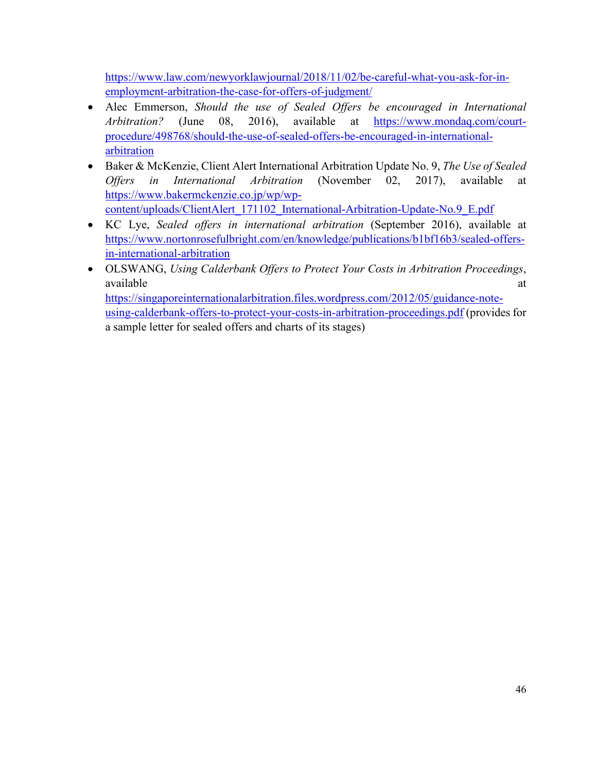[https://www.law.com/newyorklawjournal/2018/11/02/be-careful-what-you-ask-for-in](https://www.law.com/newyorklawjournal/2018/11/02/be-careful-what-you-ask-for-in-employment-arbitration-the-case-for-offers-of-judgment/)[employment-arbitration-the-case-for-offers-of-judgment/](https://www.law.com/newyorklawjournal/2018/11/02/be-careful-what-you-ask-for-in-employment-arbitration-the-case-for-offers-of-judgment/)

- Alec Emmerson, *Should the use of Sealed Offers be encouraged in International Arbitration?* (June 08, 2016), available at [https://www.mondaq.com/court](https://www.mondaq.com/court-procedure/498768/should-the-use-of-sealed-offers-be-encouraged-in-international-arbitration)[procedure/498768/should-the-use-of-sealed-offers-be-encouraged-in-international](https://www.mondaq.com/court-procedure/498768/should-the-use-of-sealed-offers-be-encouraged-in-international-arbitration)[arbitration](https://www.mondaq.com/court-procedure/498768/should-the-use-of-sealed-offers-be-encouraged-in-international-arbitration)
- Baker & McKenzie, Client Alert International Arbitration Update No. 9, *The Use of Sealed Offers in International Arbitration* (November 02, 2017), available at [https://www.bakermckenzie.co.jp/wp/wp](https://www.bakermckenzie.co.jp/wp/wp-content/uploads/ClientAlert_171102_International-Arbitration-Update-No.9_E.pdf)[content/uploads/ClientAlert\\_171102\\_International-Arbitration-Update-No.9\\_E.pdf](https://www.bakermckenzie.co.jp/wp/wp-content/uploads/ClientAlert_171102_International-Arbitration-Update-No.9_E.pdf)
- KC Lye, *Sealed offers in international arbitration* (September 2016), available at [https://www.nortonrosefulbright.com/en/knowledge/publications/b1bf16b3/sealed-offers](https://www.nortonrosefulbright.com/en/knowledge/publications/b1bf16b3/sealed-offers-in-international-arbitration)[in-international-arbitration](https://www.nortonrosefulbright.com/en/knowledge/publications/b1bf16b3/sealed-offers-in-international-arbitration)
- OLSWANG, *Using Calderbank Offers to Protect Your Costs in Arbitration Proceedings*, available at a state of  $\alpha$  at a state of  $\alpha$  at a state of  $\alpha$  at a state of  $\alpha$  at a state of  $\alpha$  at a state of  $\alpha$  at a state of  $\alpha$  at a state of  $\alpha$  at a state of  $\alpha$  at a state of  $\alpha$  at a state of  $\alpha$  at [https://singaporeinternationalarbitration.files.wordpress.com/2012/05/guidance-note](https://singaporeinternationalarbitration.files.wordpress.com/2012/05/guidance-note-using-calderbank-offers-to-protect-your-costs-in-arbitration-proceedings.pdf)[using-calderbank-offers-to-protect-your-costs-in-arbitration-proceedings.pdf](https://singaporeinternationalarbitration.files.wordpress.com/2012/05/guidance-note-using-calderbank-offers-to-protect-your-costs-in-arbitration-proceedings.pdf) (provides for a sample letter for sealed offers and charts of its stages)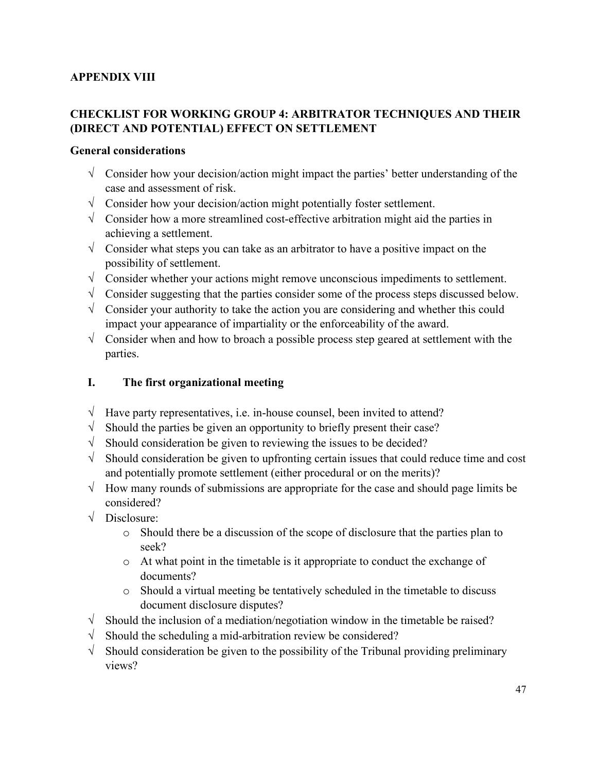## **APPENDIX VIII**

## **CHECKLIST FOR WORKING GROUP 4: ARBITRATOR TECHNIQUES AND THEIR (DIRECT AND POTENTIAL) EFFECT ON SETTLEMENT**

## **General considerations**

- $\sqrt{\phantom{a}}$  Consider how your decision/action might impact the parties' better understanding of the case and assessment of risk.
- $\sqrt{\frac{1}{\sqrt{1-\lambda}}}$  Consider how your decision/action might potentially foster settlement.
- √ Consider how a more streamlined cost-effective arbitration might aid the parties in achieving a settlement.
- $\sqrt{\phantom{a}}$  Consider what steps you can take as an arbitrator to have a positive impact on the possibility of settlement.
- $\sqrt{\phantom{a}}$  Consider whether your actions might remove unconscious impediments to settlement.
- $\sqrt{\phantom{a}}$  Consider suggesting that the parties consider some of the process steps discussed below.
- $\sqrt{\phantom{a}}$  Consider your authority to take the action you are considering and whether this could impact your appearance of impartiality or the enforceability of the award.
- $\sqrt{\phantom{a}}$  Consider when and how to broach a possible process step geared at settlement with the parties.

## **I. The first organizational meeting**

- $\sqrt{\phantom{a}}$  Have party representatives, i.e. in-house counsel, been invited to attend?
- $\sqrt{\ }$  Should the parties be given an opportunity to briefly present their case?
- $\sqrt{\phantom{a}}$  Should consideration be given to reviewing the issues to be decided?
- $\sqrt{\ }$  Should consideration be given to upfronting certain issues that could reduce time and cost and potentially promote settlement (either procedural or on the merits)?
- $\sqrt{\frac{1}{1}}$  How many rounds of submissions are appropriate for the case and should page limits be considered?
- √ Disclosure:
	- o Should there be a discussion of the scope of disclosure that the parties plan to seek?
	- o At what point in the timetable is it appropriate to conduct the exchange of documents?
	- o Should a virtual meeting be tentatively scheduled in the timetable to discuss document disclosure disputes?
- $\sqrt{\frac{1}{\sqrt{1}}\$  Should the inclusion of a mediation/negotiation window in the timetable be raised?
- $\sqrt{\ }$  Should the scheduling a mid-arbitration review be considered?
- $\sqrt{\frac{1}{\sqrt{1-\lambda}}}$  Should consideration be given to the possibility of the Tribunal providing preliminary views?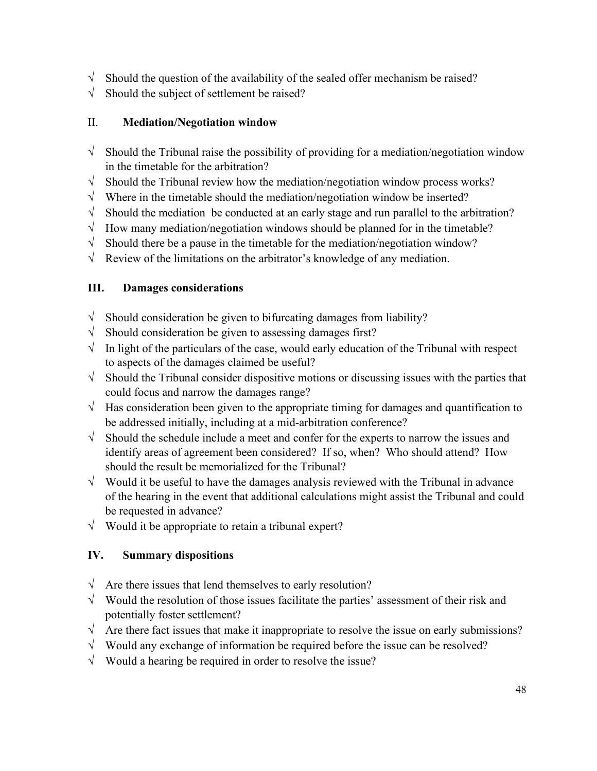- $\sqrt{\phantom{a}}$  Should the question of the availability of the sealed offer mechanism be raised?
- $\sqrt{\phantom{a}}$  Should the subject of settlement be raised?

## II. **Mediation/Negotiation window**

- $\sqrt{\ }$  Should the Tribunal raise the possibility of providing for a mediation/negotiation window in the timetable for the arbitration?
- $\sqrt{\ }$  Should the Tribunal review how the mediation/negotiation window process works?
- $\sqrt{\ }$  Where in the timetable should the mediation/negotiation window be inserted?
- $\sqrt{\ }$  Should the mediation be conducted at an early stage and run parallel to the arbitration?
- $\sqrt{\phantom{a}}$  How many mediation/negotiation windows should be planned for in the timetable?
- $\sqrt{\ }$  Should there be a pause in the timetable for the mediation/negotiation window?
- $\sqrt{\phantom{a}}$  Review of the limitations on the arbitrator's knowledge of any mediation.

## **III. Damages considerations**

- $\sqrt{\frac{1}{\sqrt{1}}\$  Should consideration be given to bifurcating damages from liability?
- $\sqrt{\ }$  Should consideration be given to assessing damages first?
- $\sqrt{\phantom{a}}$  In light of the particulars of the case, would early education of the Tribunal with respect to aspects of the damages claimed be useful?
- $\sqrt{\ }$  Should the Tribunal consider dispositive motions or discussing issues with the parties that could focus and narrow the damages range?
- $\sqrt{\phantom{a}}$  Has consideration been given to the appropriate timing for damages and quantification to be addressed initially, including at a mid-arbitration conference?
- $\sqrt{\phantom{a}}$  Should the schedule include a meet and confer for the experts to narrow the issues and identify areas of agreement been considered? If so, when? Who should attend? How should the result be memorialized for the Tribunal?
- $\sqrt{\phantom{a}}$  Would it be useful to have the damages analysis reviewed with the Tribunal in advance of the hearing in the event that additional calculations might assist the Tribunal and could be requested in advance?
- $\sqrt{\phantom{a}}$  Would it be appropriate to retain a tribunal expert?

## **IV. Summary dispositions**

- $\sqrt{\phantom{a}}$  Are there issues that lend themselves to early resolution?
- $\sqrt{\phantom{a}}$  Would the resolution of those issues facilitate the parties' assessment of their risk and potentially foster settlement?
- $\sqrt{\phantom{a}}$  Are there fact issues that make it inappropriate to resolve the issue on early submissions?
- $\sqrt{\phantom{a}}$  Would any exchange of information be required before the issue can be resolved?
- $\sqrt{\phantom{a}}$  Would a hearing be required in order to resolve the issue?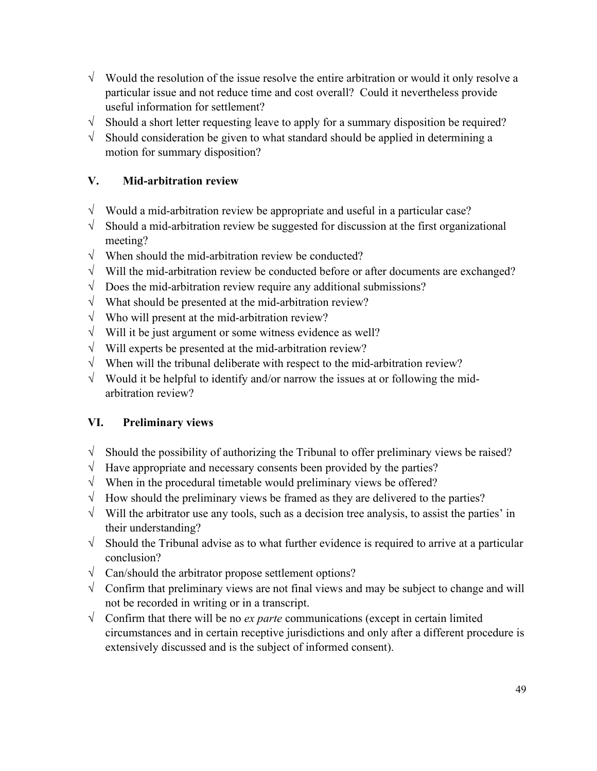- $\sqrt{\phantom{a}}$  Would the resolution of the issue resolve the entire arbitration or would it only resolve a particular issue and not reduce time and cost overall? Could it nevertheless provide useful information for settlement?
- $\sqrt{\ }$  Should a short letter requesting leave to apply for a summary disposition be required?
- $\sqrt{\phantom{a}}$  Should consideration be given to what standard should be applied in determining a motion for summary disposition?

## **V. Mid-arbitration review**

- $\sqrt{\phantom{a}}$  Would a mid-arbitration review be appropriate and useful in a particular case?
- $\sqrt{\frac{1}{\sqrt{1}}\$  Should a mid-arbitration review be suggested for discussion at the first organizational meeting?
- $\sqrt{\phantom{a}}$  When should the mid-arbitration review be conducted?
- √ Will the mid-arbitration review be conducted before or after documents are exchanged?
- $\sqrt{\phantom{a}}$  Does the mid-arbitration review require any additional submissions?
- $\sqrt{\phantom{a}}$  What should be presented at the mid-arbitration review?
- $\sqrt{\phantom{a}}$  Who will present at the mid-arbitration review?
- $\sqrt{\ }$  Will it be just argument or some witness evidence as well?
- $\sqrt{\phantom{a}}$  Will experts be presented at the mid-arbitration review?
- $\sqrt{\phantom{a}}$  When will the tribunal deliberate with respect to the mid-arbitration review?
- $\sqrt{\phantom{a}}$  Would it be helpful to identify and/or narrow the issues at or following the midarbitration review?

## **VI. Preliminary views**

- $\sqrt{\ }$  Should the possibility of authorizing the Tribunal to offer preliminary views be raised?
- $\sqrt{\frac{1}{1}}$  Have appropriate and necessary consents been provided by the parties?
- $\sqrt{\phantom{a}}$  When in the procedural timetable would preliminary views be offered?
- $\sqrt{\phantom{a}}$  How should the preliminary views be framed as they are delivered to the parties?
- $\sqrt{\ }$  Will the arbitrator use any tools, such as a decision tree analysis, to assist the parties' in their understanding?
- $\sqrt{\phantom{a}}$  Should the Tribunal advise as to what further evidence is required to arrive at a particular conclusion?
- $\sqrt{\frac{2}{\pi}}$  Can/should the arbitrator propose settlement options?
- √ Confirm that preliminary views are not final views and may be subject to change and will not be recorded in writing or in a transcript.
- √ Confirm that there will be no *ex parte* communications (except in certain limited circumstances and in certain receptive jurisdictions and only after a different procedure is extensively discussed and is the subject of informed consent).